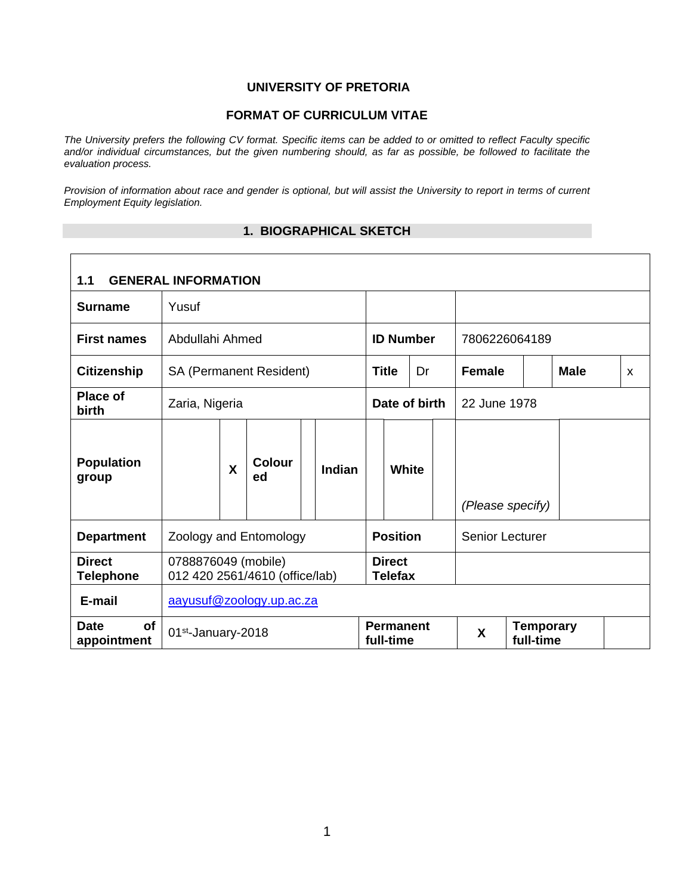#### **UNIVERSITY OF PRETORIA**

#### **FORMAT OF CURRICULUM VITAE**

*The University prefers the following CV format. Specific items can be added to or omitted to reflect Faculty specific and/or individual circumstances, but the given numbering should, as far as possible, be followed to facilitate the evaluation process.* 

*Provision of information about race and gender is optional, but will assist the University to report in terms of current Employment Equity legislation.* 

#### **1. BIOGRAPHICAL SKETCH**

| <b>GENERAL INFORMATION</b><br>1.1 |                      |   |                                |  |        |               |                                 |  |               |                        |                               |  |   |  |
|-----------------------------------|----------------------|---|--------------------------------|--|--------|---------------|---------------------------------|--|---------------|------------------------|-------------------------------|--|---|--|
| <b>Surname</b>                    | Yusuf                |   |                                |  |        |               |                                 |  |               |                        |                               |  |   |  |
| <b>First names</b>                | Abdullahi Ahmed      |   |                                |  |        |               | <b>ID Number</b>                |  |               | 7806226064189          |                               |  |   |  |
| <b>Citizenship</b>                |                      |   | <b>SA (Permanent Resident)</b> |  |        |               | <b>Title</b><br>Dr              |  | <b>Female</b> |                        | <b>Male</b>                   |  | X |  |
| <b>Place of</b><br>birth          | Zaria, Nigeria       |   |                                |  |        | Date of birth |                                 |  |               | 22 June 1978           |                               |  |   |  |
| <b>Population</b><br>group        |                      | X | <b>Colour</b><br>ed            |  | Indian |               | White                           |  |               | (Please specify)       |                               |  |   |  |
| <b>Department</b>                 |                      |   | Zoology and Entomology         |  |        |               | <b>Position</b>                 |  |               | <b>Senior Lecturer</b> |                               |  |   |  |
| <b>Direct</b><br><b>Telephone</b> | 0788876049 (mobile)  |   | 012 420 2561/4610 (office/lab) |  |        |               | <b>Direct</b><br><b>Telefax</b> |  |               |                        |                               |  |   |  |
| E-mail                            |                      |   | aayusuf@zoology.up.ac.za       |  |        |               |                                 |  |               |                        |                               |  |   |  |
| <b>Date</b><br>οf<br>appointment  | $01st$ -January-2018 |   |                                |  |        |               | <b>Permanent</b><br>full-time   |  |               | X                      | <b>Temporary</b><br>full-time |  |   |  |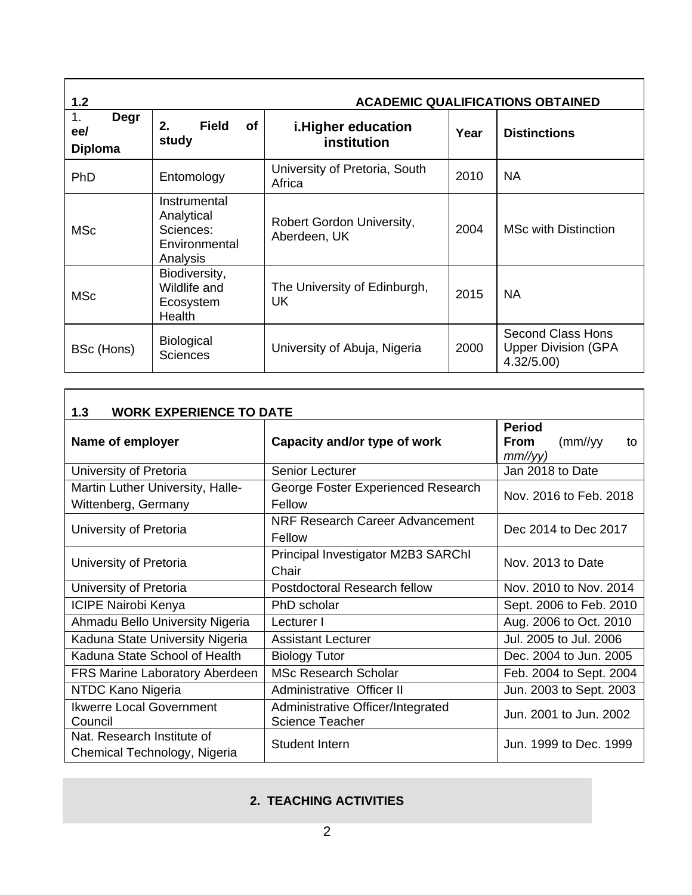| 1.2                                 | <b>ACADEMIC QUALIFICATIONS OBTAINED</b>                              |                                           |      |                                                              |  |  |  |
|-------------------------------------|----------------------------------------------------------------------|-------------------------------------------|------|--------------------------------------------------------------|--|--|--|
| 1.<br>Degr<br>ee/<br><b>Diploma</b> | 2.<br><b>Field</b><br>of<br>study                                    | i. Higher education<br>institution        | Year | <b>Distinctions</b>                                          |  |  |  |
| PhD                                 | Entomology                                                           | University of Pretoria, South<br>Africa   | 2010 | <b>NA</b>                                                    |  |  |  |
| <b>MSc</b>                          | Instrumental<br>Analytical<br>Sciences:<br>Environmental<br>Analysis | Robert Gordon University,<br>Aberdeen, UK | 2004 | <b>MSc with Distinction</b>                                  |  |  |  |
| <b>MSc</b>                          | Biodiversity,<br>Wildlife and<br>Ecosystem<br><b>Health</b>          | The University of Edinburgh,<br>UK        | 2015 | <b>NA</b>                                                    |  |  |  |
| BSc (Hons)                          | <b>Biological</b><br><b>Sciences</b>                                 | University of Abuja, Nigeria              | 2000 | Second Class Hons<br><b>Upper Division (GPA</b><br>4.32/5.00 |  |  |  |

| <b>WORK EXPERIENCE TO DATE</b><br>1.3                      |                                                             |                                                                 |  |  |  |  |
|------------------------------------------------------------|-------------------------------------------------------------|-----------------------------------------------------------------|--|--|--|--|
| Name of employer                                           | Capacity and/or type of work                                | <b>Period</b><br><b>From</b><br>$\frac{mm}{yy}$<br>to<br>mm/yy) |  |  |  |  |
| University of Pretoria                                     | Senior Lecturer                                             | Jan 2018 to Date                                                |  |  |  |  |
| Martin Luther University, Halle-<br>Wittenberg, Germany    | George Foster Experienced Research<br>Fellow                | Nov. 2016 to Feb. 2018                                          |  |  |  |  |
| University of Pretoria                                     | NRF Research Career Advancement<br>Fellow                   | Dec 2014 to Dec 2017                                            |  |  |  |  |
| University of Pretoria                                     | Principal Investigator M2B3 SARChI<br>Chair                 | Nov. 2013 to Date                                               |  |  |  |  |
| University of Pretoria                                     | Postdoctoral Research fellow                                | Nov. 2010 to Nov. 2014                                          |  |  |  |  |
| <b>ICIPE Nairobi Kenya</b>                                 | PhD scholar                                                 | Sept. 2006 to Feb. 2010                                         |  |  |  |  |
| Ahmadu Bello University Nigeria                            | Lecturer I                                                  | Aug. 2006 to Oct. 2010                                          |  |  |  |  |
| Kaduna State University Nigeria                            | <b>Assistant Lecturer</b>                                   | Jul. 2005 to Jul. 2006                                          |  |  |  |  |
| Kaduna State School of Health                              | <b>Biology Tutor</b>                                        | Dec. 2004 to Jun. 2005                                          |  |  |  |  |
| <b>FRS Marine Laboratory Aberdeen</b>                      | <b>MSc Research Scholar</b>                                 | Feb. 2004 to Sept. 2004                                         |  |  |  |  |
| NTDC Kano Nigeria                                          | Administrative Officer II                                   | Jun. 2003 to Sept. 2003                                         |  |  |  |  |
| <b>Ikwerre Local Government</b><br>Council                 | Administrative Officer/Integrated<br><b>Science Teacher</b> | Jun. 2001 to Jun. 2002                                          |  |  |  |  |
| Nat. Research Institute of<br>Chemical Technology, Nigeria | Student Intern                                              | Jun. 1999 to Dec. 1999                                          |  |  |  |  |

# **2. TEACHING ACTIVITIES**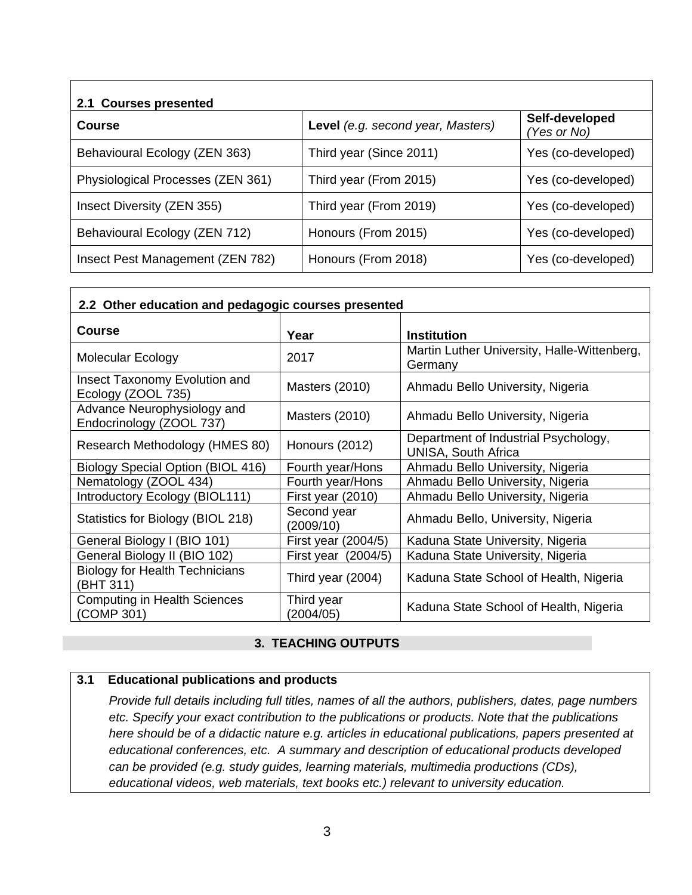| 2.1 Courses presented             |                                   |                               |  |  |  |  |
|-----------------------------------|-----------------------------------|-------------------------------|--|--|--|--|
| Course                            | Level (e.g. second year, Masters) | Self-developed<br>(Yes or No) |  |  |  |  |
| Behavioural Ecology (ZEN 363)     | Third year (Since 2011)           | Yes (co-developed)            |  |  |  |  |
| Physiological Processes (ZEN 361) | Third year (From 2015)            | Yes (co-developed)            |  |  |  |  |
| Insect Diversity (ZEN 355)        | Third year (From 2019)            | Yes (co-developed)            |  |  |  |  |
| Behavioural Ecology (ZEN 712)     | Honours (From 2015)               | Yes (co-developed)            |  |  |  |  |
| Insect Pest Management (ZEN 782)  | Honours (From 2018)               | Yes (co-developed)            |  |  |  |  |

| 2.2 Other education and pedagogic courses presented     |                          |                                                                    |  |  |  |  |
|---------------------------------------------------------|--------------------------|--------------------------------------------------------------------|--|--|--|--|
| <b>Course</b>                                           | Year                     | <b>Institution</b>                                                 |  |  |  |  |
| <b>Molecular Ecology</b>                                | 2017                     | Martin Luther University, Halle-Wittenberg,<br>Germany             |  |  |  |  |
| Insect Taxonomy Evolution and<br>Ecology (ZOOL 735)     | Masters (2010)           | Ahmadu Bello University, Nigeria                                   |  |  |  |  |
| Advance Neurophysiology and<br>Endocrinology (ZOOL 737) | Masters (2010)           | Ahmadu Bello University, Nigeria                                   |  |  |  |  |
| Research Methodology (HMES 80)                          | Honours (2012)           | Department of Industrial Psychology,<br><b>UNISA, South Africa</b> |  |  |  |  |
| <b>Biology Special Option (BIOL 416)</b>                | Fourth year/Hons         | Ahmadu Bello University, Nigeria                                   |  |  |  |  |
| Nematology (ZOOL 434)                                   | Fourth year/Hons         | Ahmadu Bello University, Nigeria                                   |  |  |  |  |
| Introductory Ecology (BIOL111)                          | First year (2010)        | Ahmadu Bello University, Nigeria                                   |  |  |  |  |
| Statistics for Biology (BIOL 218)                       | Second year<br>(2009/10) | Ahmadu Bello, University, Nigeria                                  |  |  |  |  |
| General Biology I (BIO 101)                             | First year (2004/5)      | Kaduna State University, Nigeria                                   |  |  |  |  |
| General Biology II (BIO 102)                            | First year (2004/5)      | Kaduna State University, Nigeria                                   |  |  |  |  |
| <b>Biology for Health Technicians</b><br>(BHT 311)      | Third year (2004)        | Kaduna State School of Health, Nigeria                             |  |  |  |  |
| <b>Computing in Health Sciences</b><br>(COMP 301)       | Third year<br>(2004/05)  | Kaduna State School of Health, Nigeria                             |  |  |  |  |

#### **3. TEACHING OUTPUTS**

#### **3.1 Educational publications and products**

*Provide full details including full titles, names of all the authors, publishers, dates, page numbers etc. Specify your exact contribution to the publications or products. Note that the publications here should be of a didactic nature e.g. articles in educational publications, papers presented at educational conferences, etc. A summary and description of educational products developed can be provided (e.g. study guides, learning materials, multimedia productions (CDs), educational videos, web materials, text books etc.) relevant to university education.*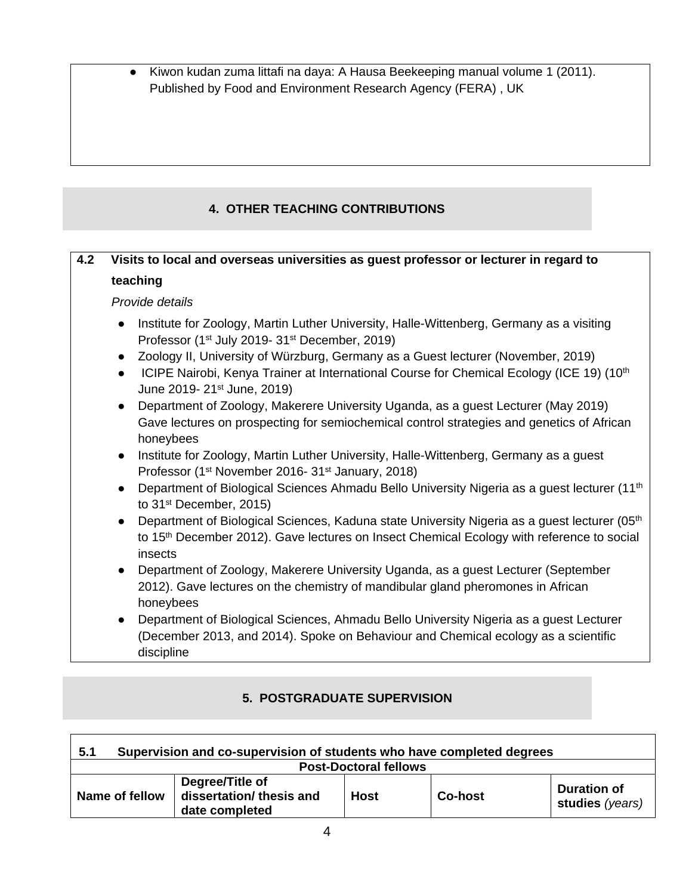● Kiwon kudan zuma littafi na daya: A Hausa Beekeeping manual volume 1 (2011). Published by Food and Environment Research Agency (FERA) , UK

# **4. OTHER TEACHING CONTRIBUTIONS**

# **4.2 Visits to local and overseas universities as guest professor or lecturer in regard to teaching**

*Provide details* 

- Institute for Zoology, Martin Luther University, Halle-Wittenberg, Germany as a visiting Professor (1<sup>st</sup> July 2019- 31<sup>st</sup> December, 2019)
- Zoology II, University of Würzburg, Germany as a Guest lecturer (November, 2019)
- ICIPE Nairobi, Kenya Trainer at International Course for Chemical Ecology (ICE 19) (10<sup>th</sup> June 2019- 21st June, 2019)
- Department of Zoology, Makerere University Uganda, as a guest Lecturer (May 2019) Gave lectures on prospecting for semiochemical control strategies and genetics of African honeybees
- Institute for Zoology, Martin Luther University, Halle-Wittenberg, Germany as a quest Professor (1<sup>st</sup> November 2016- 31<sup>st</sup> January, 2018)
- Department of Biological Sciences Ahmadu Bello University Nigeria as a quest lecturer (11<sup>th</sup>) to 31st December, 2015)
- Department of Biological Sciences, Kaduna state University Nigeria as a guest lecturer (05<sup>th</sup>) to 15<sup>th</sup> December 2012). Gave lectures on Insect Chemical Ecology with reference to social insects
- Department of Zoology, Makerere University Uganda, as a guest Lecturer (September 2012). Gave lectures on the chemistry of mandibular gland pheromones in African honeybees
- Department of Biological Sciences, Ahmadu Bello University Nigeria as a quest Lecturer (December 2013, and 2014). Spoke on Behaviour and Chemical ecology as a scientific discipline

# **5. POSTGRADUATE SUPERVISION**

| Supervision and co-supervision of students who have completed degrees<br>5.1 |                                                               |      |                |                                       |  |
|------------------------------------------------------------------------------|---------------------------------------------------------------|------|----------------|---------------------------------------|--|
| <b>Post-Doctoral fellows</b>                                                 |                                                               |      |                |                                       |  |
| Name of fellow                                                               | Degree/Title of<br>dissertation/ thesis and<br>date completed | Host | <b>Co-host</b> | <b>Duration of</b><br>studies (years) |  |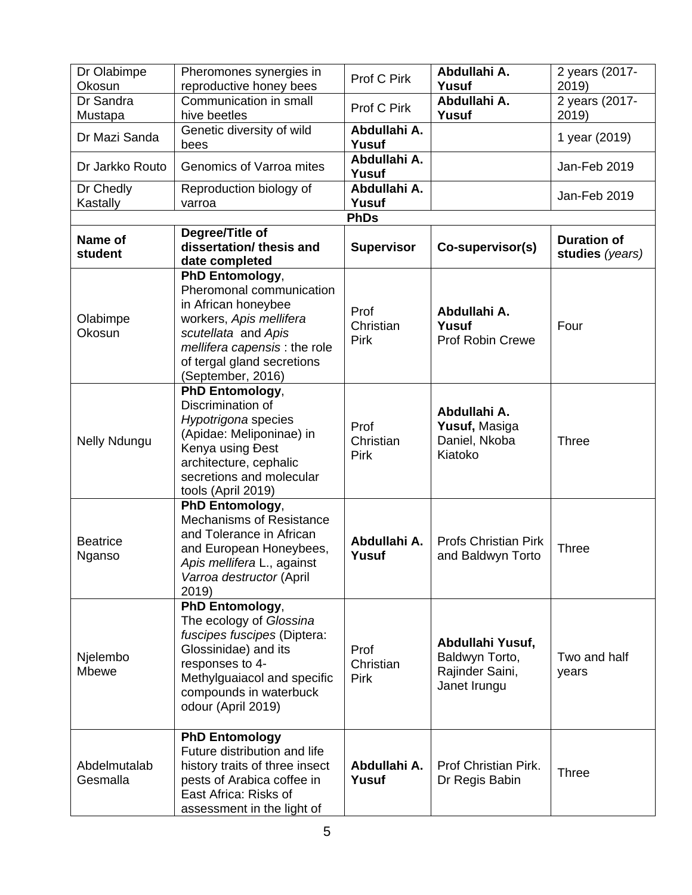| Dr Olabimpe               | Pheromones synergies in                                                                                                                                                                                 | Prof C Pirk                      | Abdullahi A.                                                          | 2 years (2017-          |
|---------------------------|---------------------------------------------------------------------------------------------------------------------------------------------------------------------------------------------------------|----------------------------------|-----------------------------------------------------------------------|-------------------------|
| Okosun                    | reproductive honey bees<br>Communication in small                                                                                                                                                       |                                  | Yusuf<br>Abdullahi A.                                                 | 2019)                   |
| Dr Sandra<br>Mustapa      | hive beetles                                                                                                                                                                                            | Prof C Pirk                      | Yusuf                                                                 | 2 years (2017-<br>2019) |
| Dr Mazi Sanda             | Genetic diversity of wild<br>bees                                                                                                                                                                       | Abdullahi A.<br>Yusuf            |                                                                       | 1 year (2019)           |
| Dr Jarkko Routo           | Genomics of Varroa mites                                                                                                                                                                                | Abdullahi A.<br>Yusuf            |                                                                       | Jan-Feb 2019            |
| Dr Chedly<br>Kastally     | Reproduction biology of<br>varroa                                                                                                                                                                       | Abdullahi A.<br>Yusuf            |                                                                       | Jan-Feb 2019            |
|                           |                                                                                                                                                                                                         | <b>PhDs</b>                      |                                                                       |                         |
| Name of                   | Degree/Title of                                                                                                                                                                                         |                                  |                                                                       | <b>Duration of</b>      |
| student                   | dissertation/ thesis and<br>date completed                                                                                                                                                              | <b>Supervisor</b>                | Co-supervisor(s)                                                      | studies (years)         |
| Olabimpe<br>Okosun        | PhD Entomology,<br>Pheromonal communication<br>in African honeybee<br>workers, Apis mellifera<br>scutellata and Apis<br>mellifera capensis: the role<br>of tergal gland secretions<br>(September, 2016) | Prof<br>Christian<br>Pirk        | Abdullahi A.<br>Yusuf<br><b>Prof Robin Crewe</b>                      | Four                    |
| Nelly Ndungu              | PhD Entomology,<br>Discrimination of<br>Hypotrigona species<br>(Apidae: Meliponinae) in<br>Kenya using Đest<br>architecture, cephalic<br>secretions and molecular<br>tools (April 2019)                 | Prof<br>Christian<br><b>Pirk</b> | Abdullahi A.<br>Yusuf, Masiga<br>Daniel, Nkoba<br>Kiatoko             | <b>Three</b>            |
| <b>Beatrice</b><br>Nganso | PhD Entomology,<br>Mechanisms of Resistance<br>and Tolerance in African<br>and European Honeybees,<br>Apis mellifera L., against<br>Varroa destructor (April<br>2019)                                   | Abdullahi A.<br>Yusuf            | <b>Profs Christian Pirk</b><br>and Baldwyn Torto                      | <b>Three</b>            |
| Njelembo<br>Mbewe         | PhD Entomology,<br>The ecology of Glossina<br>fuscipes fuscipes (Diptera:<br>Glossinidae) and its<br>responses to 4-<br>Methylguaiacol and specific<br>compounds in waterbuck<br>odour (April 2019)     | Prof<br>Christian<br><b>Pirk</b> | Abdullahi Yusuf,<br>Baldwyn Torto,<br>Rajinder Saini,<br>Janet Irungu | Two and half<br>years   |
| Abdelmutalab<br>Gesmalla  | <b>PhD Entomology</b><br>Future distribution and life<br>history traits of three insect<br>pests of Arabica coffee in<br>East Africa: Risks of<br>assessment in the light of                            | Abdullahi A.<br>Yusuf            | Prof Christian Pirk.<br>Dr Regis Babin                                | <b>Three</b>            |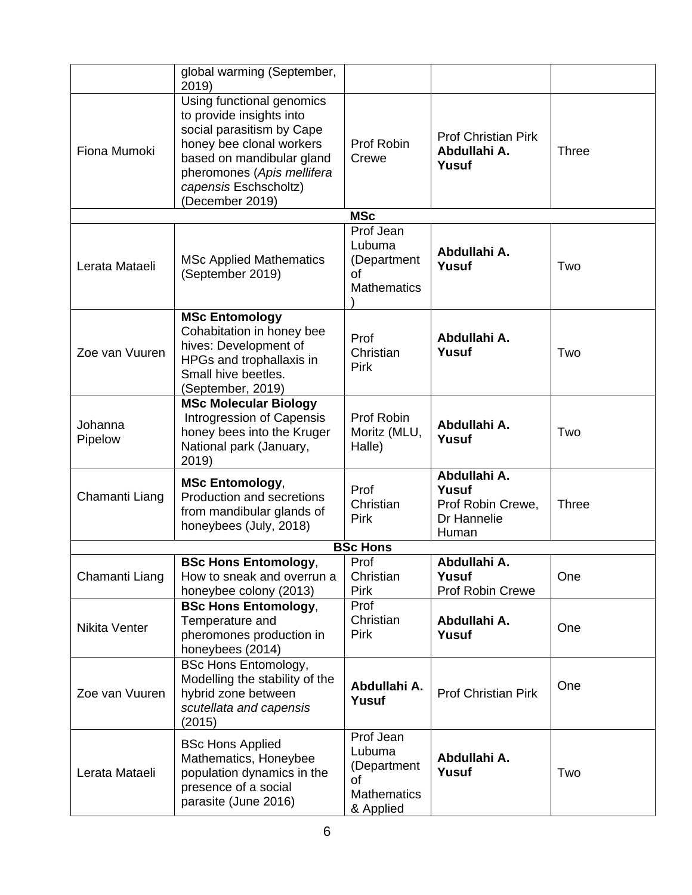|                    | global warming (September,<br>2019)                                                                                                                                                                                   |                                                                             |                                                                    |              |
|--------------------|-----------------------------------------------------------------------------------------------------------------------------------------------------------------------------------------------------------------------|-----------------------------------------------------------------------------|--------------------------------------------------------------------|--------------|
| Fiona Mumoki       | Using functional genomics<br>to provide insights into<br>social parasitism by Cape<br>honey bee clonal workers<br>based on mandibular gland<br>pheromones (Apis mellifera<br>capensis Eschscholtz)<br>(December 2019) | Prof Robin<br>Crewe                                                         | <b>Prof Christian Pirk</b><br>Abdullahi A.<br>Yusuf                | <b>Three</b> |
|                    |                                                                                                                                                                                                                       | <b>MSc</b>                                                                  |                                                                    |              |
| Lerata Mataeli     | <b>MSc Applied Mathematics</b><br>(September 2019)                                                                                                                                                                    | Prof Jean<br>Lubuma<br>(Department<br>οf<br><b>Mathematics</b>              | Abdullahi A.<br>Yusuf                                              | Two          |
| Zoe van Vuuren     | <b>MSc Entomology</b><br>Cohabitation in honey bee<br>hives: Development of<br>HPGs and trophallaxis in<br>Small hive beetles.<br>(September, 2019)                                                                   | Prof<br>Christian<br><b>Pirk</b>                                            | Abdullahi A.<br>Yusuf                                              | Two          |
| Johanna<br>Pipelow | <b>MSc Molecular Biology</b><br>Introgression of Capensis<br>honey bees into the Kruger<br>National park (January,<br>2019)                                                                                           | Prof Robin<br>Moritz (MLU,<br>Halle)                                        | Abdullahi A.<br>Yusuf                                              | Two          |
| Chamanti Liang     | <b>MSc Entomology,</b><br>Production and secretions<br>from mandibular glands of<br>honeybees (July, 2018)                                                                                                            | Prof<br>Christian<br>Pirk                                                   | Abdullahi A.<br>Yusuf<br>Prof Robin Crewe,<br>Dr Hannelie<br>Human | <b>Three</b> |
|                    |                                                                                                                                                                                                                       | <b>BSc Hons</b>                                                             |                                                                    |              |
| Chamanti Liang     | <b>BSc Hons Entomology,</b><br>How to sneak and overrun a<br>honeybee colony (2013)                                                                                                                                   | Prof<br>Christian<br><b>Pirk</b>                                            | Abdullahi A.<br>Yusuf<br>Prof Robin Crewe                          | One          |
| Nikita Venter      | <b>BSc Hons Entomology,</b><br>Temperature and<br>pheromones production in<br>honeybees (2014)                                                                                                                        | Prof<br>Christian<br><b>Pirk</b>                                            | Abdullahi A.<br>Yusuf                                              | One          |
| Zoe van Vuuren     | <b>BSc Hons Entomology,</b><br>Modelling the stability of the<br>hybrid zone between<br>scutellata and capensis<br>(2015)                                                                                             | Abdullahi A.<br>Yusuf                                                       | <b>Prof Christian Pirk</b>                                         | One          |
| Lerata Mataeli     | <b>BSc Hons Applied</b><br>Mathematics, Honeybee<br>population dynamics in the<br>presence of a social<br>parasite (June 2016)                                                                                        | Prof Jean<br>Lubuma<br>(Department<br>οf<br><b>Mathematics</b><br>& Applied | Abdullahi A.<br>Yusuf                                              | Two          |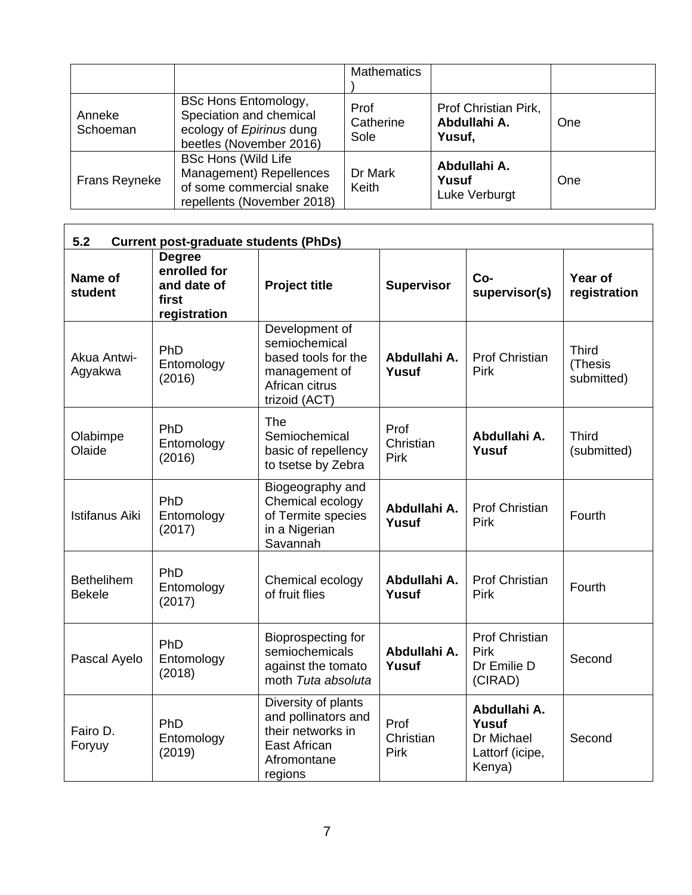|                      |                                                                                                                 | <b>Mathematics</b>        |                                                |     |
|----------------------|-----------------------------------------------------------------------------------------------------------------|---------------------------|------------------------------------------------|-----|
| Anneke<br>Schoeman   | <b>BSc Hons Entomology,</b><br>Speciation and chemical<br>ecology of Epirinus dung<br>beetles (November 2016)   | Prof<br>Catherine<br>Sole | Prof Christian Pirk,<br>Abdullahi A.<br>Yusuf, | One |
| <b>Frans Reyneke</b> | <b>BSc Hons (Wild Life</b><br>Management) Repellences<br>of some commercial snake<br>repellents (November 2018) | Dr Mark<br>Keith          | Abdullahi A.<br>Yusuf<br>Luke Verburgt         | One |

| 5.2                                | <b>Current post-graduate students (PhDs)</b>                          |                                                                                                            |                           |                                                                  |                                       |  |  |
|------------------------------------|-----------------------------------------------------------------------|------------------------------------------------------------------------------------------------------------|---------------------------|------------------------------------------------------------------|---------------------------------------|--|--|
| Name of<br>student                 | <b>Degree</b><br>enrolled for<br>and date of<br>first<br>registration | <b>Project title</b>                                                                                       | <b>Supervisor</b>         | Co-<br>supervisor(s)                                             | Year of<br>registration               |  |  |
| Akua Antwi-<br>Agyakwa             | PhD<br>Entomology<br>(2016)                                           | Development of<br>semiochemical<br>based tools for the<br>management of<br>African citrus<br>trizoid (ACT) | Abdullahi A.<br>Yusuf     | <b>Prof Christian</b><br>Pirk                                    | <b>Third</b><br>(Thesis<br>submitted) |  |  |
| Olabimpe<br>Olaide                 | PhD<br>Entomology<br>(2016)                                           | The<br>Semiochemical<br>basic of repellency<br>to tsetse by Zebra                                          | Prof<br>Christian<br>Pirk | Abdullahi A.<br>Yusuf                                            | <b>Third</b><br>(submitted)           |  |  |
| <b>Istifanus Aiki</b>              | PhD<br>Entomology<br>(2017)                                           | Biogeography and<br>Chemical ecology<br>of Termite species<br>in a Nigerian<br>Savannah                    | Abdullahi A.<br>Yusuf     | <b>Prof Christian</b><br>Pirk                                    | Fourth                                |  |  |
| <b>Bethelihem</b><br><b>Bekele</b> | PhD<br>Entomology<br>(2017)                                           | Chemical ecology<br>of fruit flies                                                                         | Abdullahi A.<br>Yusuf     | <b>Prof Christian</b><br>Pirk                                    | Fourth                                |  |  |
| Pascal Ayelo                       | PhD<br>Entomology<br>(2018)                                           | Bioprospecting for<br>semiochemicals<br>against the tomato<br>moth Tuta absoluta                           | Abdullahi A.<br>Yusuf     | <b>Prof Christian</b><br>Pirk<br>Dr Emilie D<br>(CIRAD)          | Second                                |  |  |
| Fairo D.<br>Foryuy                 | PhD<br>Entomology<br>(2019)                                           | Diversity of plants<br>and pollinators and<br>their networks in<br>East African<br>Afromontane<br>regions  | Prof<br>Christian<br>Pirk | Abdullahi A.<br>Yusuf<br>Dr Michael<br>Lattorf (icipe,<br>Kenya) | Second                                |  |  |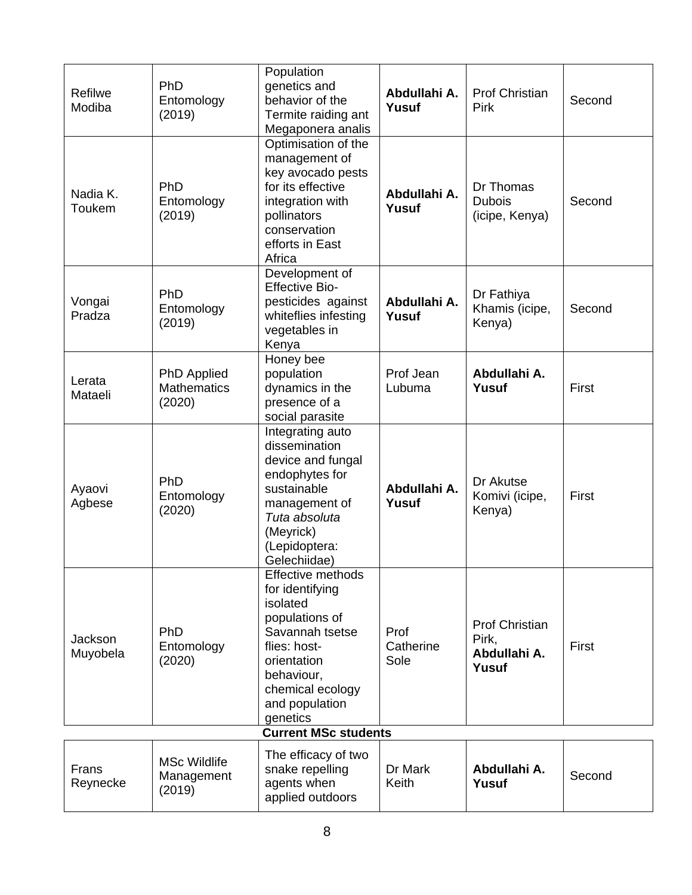| Refilwe<br>Modiba   | PhD<br>Entomology<br>(2019)                 | Population<br>genetics and<br>behavior of the<br>Termite raiding ant<br>Megaponera analis                                                                                            | Abdullahi A.<br>Yusuf     | <b>Prof Christian</b><br><b>Pirk</b>                    | Second |
|---------------------|---------------------------------------------|--------------------------------------------------------------------------------------------------------------------------------------------------------------------------------------|---------------------------|---------------------------------------------------------|--------|
| Nadia K.<br>Toukem  | PhD<br>Entomology<br>(2019)                 | Optimisation of the<br>management of<br>key avocado pests<br>for its effective<br>integration with<br>pollinators<br>conservation<br>efforts in East<br>Africa                       | Abdullahi A.<br>Yusuf     | Dr Thomas<br><b>Dubois</b><br>(icipe, Kenya)            | Second |
| Vongai<br>Pradza    | PhD<br>Entomology<br>(2019)                 | Development of<br><b>Effective Bio-</b><br>pesticides against<br>whiteflies infesting<br>vegetables in<br>Kenya                                                                      | Abdullahi A.<br>Yusuf     | Dr Fathiya<br>Khamis (icipe,<br>Kenya)                  | Second |
| Lerata<br>Mataeli   | PhD Applied<br><b>Mathematics</b><br>(2020) | Honey bee<br>population<br>dynamics in the<br>presence of a<br>social parasite                                                                                                       | Prof Jean<br>Lubuma       | Abdullahi A.<br>Yusuf                                   | First  |
| Ayaovi<br>Agbese    | PhD<br>Entomology<br>(2020)                 | Integrating auto<br>dissemination<br>device and fungal<br>endophytes for<br>sustainable<br>management of<br>Tuta absoluta<br>(Meyrick)<br>(Lepidoptera:<br>Gelechiidae)              | Abdullahi A.<br>Yusuf     | Dr Akutse<br>Komivi (icipe,<br>Kenya)                   | First  |
| Jackson<br>Muyobela | PhD<br>Entomology<br>(2020)                 | Effective methods<br>for identifying<br>isolated<br>populations of<br>Savannah tsetse<br>flies: host-<br>orientation<br>behaviour,<br>chemical ecology<br>and population<br>genetics | Prof<br>Catherine<br>Sole | <b>Prof Christian</b><br>Pirk,<br>Abdullahi A.<br>Yusuf | First  |
|                     |                                             | <b>Current MSc students</b>                                                                                                                                                          |                           |                                                         |        |
| Frans<br>Reynecke   | <b>MSc Wildlife</b><br>Management<br>(2019) | The efficacy of two<br>snake repelling<br>agents when<br>applied outdoors                                                                                                            | Dr Mark<br>Keith          | Abdullahi A.<br>Yusuf                                   | Second |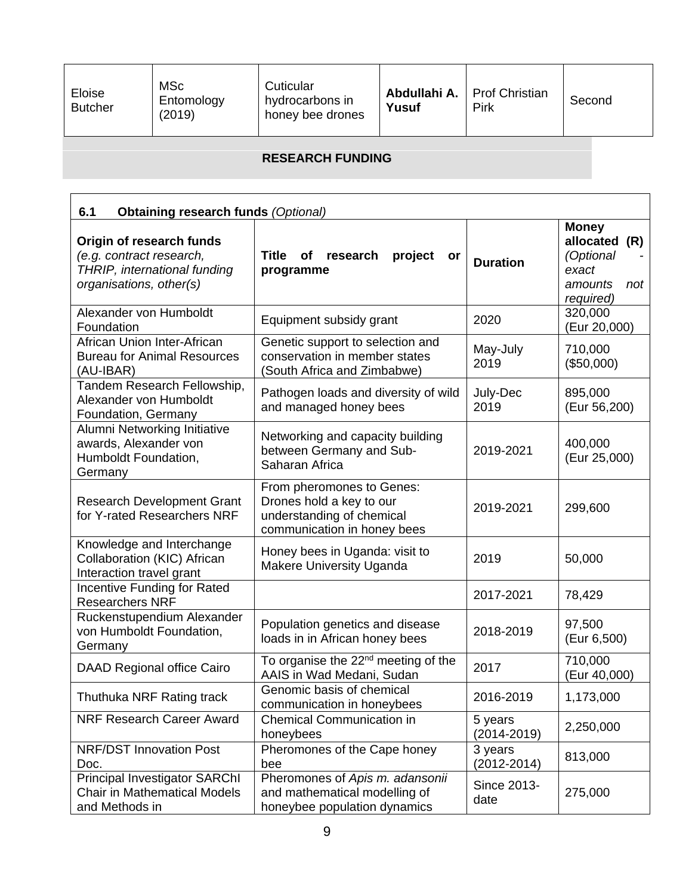| Eloise<br><b>Butcher</b> | <b>MSc</b><br>Entomology<br>(2019) | Cuticular<br>hydrocarbons in<br>honey bee drones | Abdullahi A.<br>Yusuf | <b>Prof Christian</b><br>Pirk | Second |
|--------------------------|------------------------------------|--------------------------------------------------|-----------------------|-------------------------------|--------|
|--------------------------|------------------------------------|--------------------------------------------------|-----------------------|-------------------------------|--------|

# **RESEARCH FUNDING**

| 6.1<br><b>Obtaining research funds (Optional)</b>                                                               |                                                                                                                   |                            |                                                                                       |  |  |
|-----------------------------------------------------------------------------------------------------------------|-------------------------------------------------------------------------------------------------------------------|----------------------------|---------------------------------------------------------------------------------------|--|--|
| Origin of research funds<br>(e.g. contract research,<br>THRIP, international funding<br>organisations, other(s) | <b>Title</b><br>of<br>project<br>research<br>or<br>programme                                                      | <b>Duration</b>            | <b>Money</b><br>allocated<br>(R)<br>(Optional<br>exact<br>amounts<br>not<br>required) |  |  |
| Alexander von Humboldt<br>Foundation                                                                            | Equipment subsidy grant                                                                                           | 2020                       | 320,000<br>(Eur 20,000)                                                               |  |  |
| African Union Inter-African<br><b>Bureau for Animal Resources</b><br>(AU-IBAR)                                  | Genetic support to selection and<br>conservation in member states<br>(South Africa and Zimbabwe)                  | May-July<br>2019           | 710,000<br>(\$50,000)                                                                 |  |  |
| Tandem Research Fellowship,<br>Alexander von Humboldt<br>Foundation, Germany                                    | Pathogen loads and diversity of wild<br>and managed honey bees                                                    | July-Dec<br>2019           | 895,000<br>(Eur 56,200)                                                               |  |  |
| Alumni Networking Initiative<br>awards, Alexander von<br>Humboldt Foundation,<br>Germany                        | Networking and capacity building<br>between Germany and Sub-<br>Saharan Africa                                    | 2019-2021                  | 400,000<br>(Eur 25,000)                                                               |  |  |
| <b>Research Development Grant</b><br>for Y-rated Researchers NRF                                                | From pheromones to Genes:<br>Drones hold a key to our<br>understanding of chemical<br>communication in honey bees | 2019-2021                  | 299,600                                                                               |  |  |
| Knowledge and Interchange<br>Collaboration (KIC) African<br>Interaction travel grant                            | Honey bees in Uganda: visit to<br><b>Makere University Uganda</b>                                                 | 2019                       | 50,000                                                                                |  |  |
| <b>Incentive Funding for Rated</b><br><b>Researchers NRF</b>                                                    |                                                                                                                   | 2017-2021                  | 78,429                                                                                |  |  |
| Ruckenstupendium Alexander<br>von Humboldt Foundation,<br>Germany                                               | Population genetics and disease<br>loads in in African honey bees                                                 | 2018-2019                  | 97,500<br>(Eur 6,500)                                                                 |  |  |
| DAAD Regional office Cairo                                                                                      | To organise the 22 <sup>nd</sup> meeting of the<br>AAIS in Wad Medani, Sudan                                      | 2017                       | 710,000<br>(Eur 40,000)                                                               |  |  |
| Thuthuka NRF Rating track                                                                                       | Genomic basis of chemical<br>communication in honeybees                                                           | 2016-2019                  | 1,173,000                                                                             |  |  |
| <b>NRF Research Career Award</b>                                                                                | <b>Chemical Communication in</b><br>honeybees                                                                     | 5 years<br>$(2014 - 2019)$ | 2,250,000                                                                             |  |  |
| <b>NRF/DST Innovation Post</b><br>Doc.                                                                          | Pheromones of the Cape honey<br>bee                                                                               | 3 years<br>$(2012 - 2014)$ | 813,000                                                                               |  |  |
| <b>Principal Investigator SARChI</b><br><b>Chair in Mathematical Models</b><br>and Methods in                   | Pheromones of Apis m. adansonii<br>and mathematical modelling of<br>honeybee population dynamics                  | Since 2013-<br>date        | 275,000                                                                               |  |  |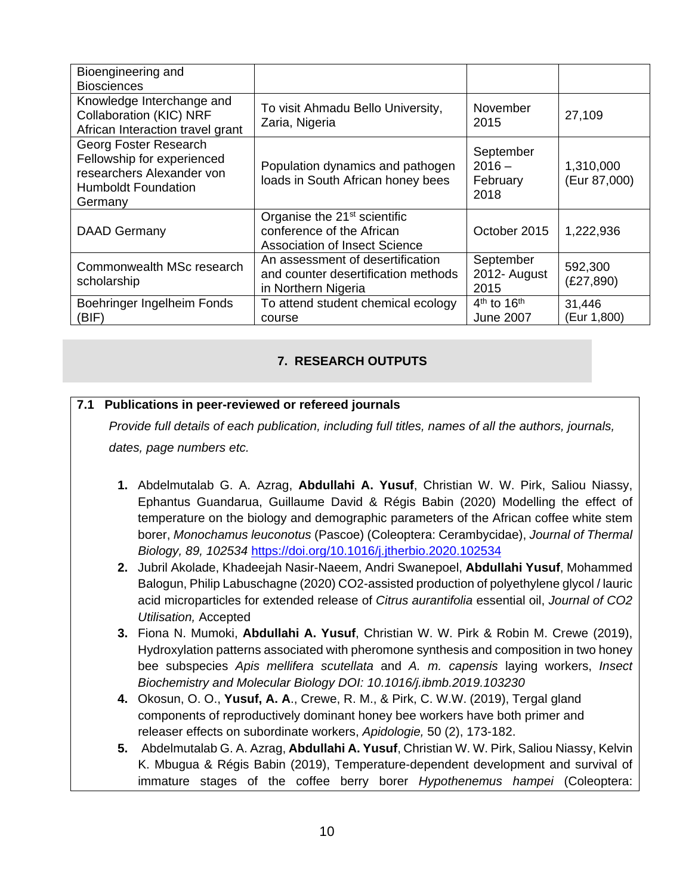| Bioengineering and<br><b>Biosciences</b>                                                                                  |                                                                                                               |                                           |                           |
|---------------------------------------------------------------------------------------------------------------------------|---------------------------------------------------------------------------------------------------------------|-------------------------------------------|---------------------------|
| Knowledge Interchange and<br><b>Collaboration (KIC) NRF</b><br>African Interaction travel grant                           | To visit Ahmadu Bello University,<br>Zaria, Nigeria                                                           | November<br>2015                          | 27,109                    |
| Georg Foster Research<br>Fellowship for experienced<br>researchers Alexander von<br><b>Humboldt Foundation</b><br>Germany | Population dynamics and pathogen<br>loads in South African honey bees                                         | September<br>$2016 -$<br>February<br>2018 | 1,310,000<br>(Eur 87,000) |
| <b>DAAD Germany</b>                                                                                                       | Organise the 21 <sup>st</sup> scientific<br>conference of the African<br><b>Association of Insect Science</b> | October 2015                              | 1,222,936                 |
| Commonwealth MSc research<br>scholarship                                                                                  | An assessment of desertification<br>and counter desertification methods<br>in Northern Nigeria                | September<br>2012- August<br>2015         | 592,300<br>(E27, 890)     |
| Boehringer Ingelheim Fonds<br>(BIF)                                                                                       | To attend student chemical ecology<br>course                                                                  | $4th$ to $16th$<br><b>June 2007</b>       | 31,446<br>(Eur 1,800)     |

### **7. RESEARCH OUTPUTS**

#### **7.1 Publications in peer-reviewed or refereed journals**

*Provide full details of each publication, including full titles, names of all the authors, journals, dates, page numbers etc.* 

- **1.** Abdelmutalab G. A. Azrag, **Abdullahi A. Yusuf**, Christian W. W. Pirk, Saliou Niassy, Ephantus Guandarua, Guillaume David & Régis Babin (2020) Modelling the effect of temperature on the biology and demographic parameters of the African coffee white stem borer, *Monochamus leuconotus* (Pascoe) (Coleoptera: Cerambycidae), *Journal of Thermal Biology, 89, 102534* https://doi.org/10.1016/j.jtherbio.2020.102534
- **2.** Jubril Akolade, Khadeejah Nasir-Naeem, Andri Swanepoel, **Abdullahi Yusuf**, Mohammed Balogun, Philip Labuschagne (2020) CO2-assisted production of polyethylene glycol / lauric acid microparticles for extended release of *Citrus aurantifolia* essential oil, *Journal of CO2 Utilisation,* Accepted
- **3.** Fiona N. Mumoki, **Abdullahi A. Yusuf**, Christian W. W. Pirk & Robin M. Crewe (2019), Hydroxylation patterns associated with pheromone synthesis and composition in two honey bee subspecies *Apis mellifera scutellata* and *A. m. capensis* laying workers, *Insect Biochemistry and Molecular Biology DOI: 10.1016/j.ibmb.2019.103230*
- **4.** Okosun, O. O., **Yusuf, A. A**., Crewe, R. M., & Pirk, C. W.W. (2019), Tergal gland components of reproductively dominant honey bee workers have both primer and releaser effects on subordinate workers, *Apidologie,* 50 (2), 173-182.
- **5.** Abdelmutalab G. A. Azrag, **Abdullahi A. Yusuf**, Christian W. W. Pirk, Saliou Niassy, Kelvin K. Mbugua & Régis Babin (2019), Temperature-dependent development and survival of immature stages of the coffee berry borer *Hypothenemus hampei* (Coleoptera: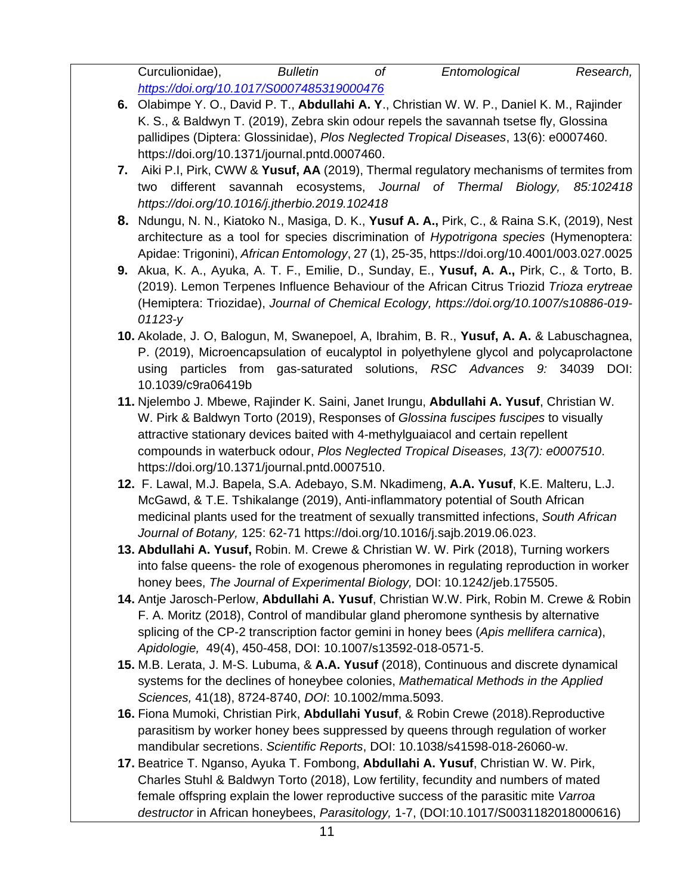Curculionidae), *Bulletin of Entomological Research, https://doi.org/10.1017/S0007485319000476*

- **6.** Olabimpe Y. O., David P. T., **Abdullahi A. Y**., Christian W. W. P., Daniel K. M., Rajinder K. S., & Baldwyn T. (2019), Zebra skin odour repels the savannah tsetse fly, Glossina pallidipes (Diptera: Glossinidae), *Plos Neglected Tropical Diseases*, 13(6): e0007460. https://doi.org/10.1371/journal.pntd.0007460.
- **7.** Aiki P.I, Pirk, CWW & **Yusuf, AA** (2019), Thermal regulatory mechanisms of termites from two different savannah ecosystems, *Journal of Thermal Biology, 85:102418 https://doi.org/10.1016/j.jtherbio.2019.102418*
- **8.** Ndungu, N. N., Kiatoko N., Masiga, D. K., **Yusuf A. A.,** Pirk, C., & Raina S.K, (2019), Nest architecture as a tool for species discrimination of *Hypotrigona species* (Hymenoptera: Apidae: Trigonini), *African Entomology*, 27 (1), 25-35, https://doi.org/10.4001/003.027.0025
- **9.** Akua, K. A., Ayuka, A. T. F., Emilie, D., Sunday, E., **Yusuf, A. A.,** Pirk, C., & Torto, B. (2019). Lemon Terpenes Influence Behaviour of the African Citrus Triozid *Trioza erytreae* (Hemiptera: Triozidae), *Journal of Chemical Ecology, https://doi.org/10.1007/s10886-019- 01123-y*
- **10.** Akolade, J. O, Balogun, M, Swanepoel, A, Ibrahim, B. R., **Yusuf, A. A.** & Labuschagnea, P. (2019), Microencapsulation of eucalyptol in polyethylene glycol and polycaprolactone using particles from gas-saturated solutions, *RSC Advances 9:* 34039 DOI: 10.1039/c9ra06419b
- **11.** Njelembo J. Mbewe, Rajinder K. Saini, Janet Irungu, **Abdullahi A. Yusuf**, Christian W. W. Pirk & Baldwyn Torto (2019), Responses of *Glossina fuscipes fuscipes* to visually attractive stationary devices baited with 4-methylguaiacol and certain repellent compounds in waterbuck odour, *Plos Neglected Tropical Diseases, 13(7): e0007510*. https://doi.org/10.1371/journal.pntd.0007510.
- **12.** F. Lawal, M.J. Bapela, S.A. Adebayo, S.M. Nkadimeng, **A.A. Yusuf**, K.E. Malteru, L.J. McGawd, & T.E. Tshikalange (2019), Anti-inflammatory potential of South African medicinal plants used for the treatment of sexually transmitted infections, *South African Journal of Botany,* 125: 62-71 https://doi.org/10.1016/j.sajb.2019.06.023.
- **13. Abdullahi A. Yusuf,** Robin. M. Crewe & Christian W. W. Pirk (2018), Turning workers into false queens- the role of exogenous pheromones in regulating reproduction in worker honey bees, *The Journal of Experimental Biology,* DOI: 10.1242/jeb.175505.
- **14.** Antje Jarosch-Perlow, **Abdullahi A. Yusuf**, Christian W.W. Pirk, Robin M. Crewe & Robin F. A. Moritz (2018), Control of mandibular gland pheromone synthesis by alternative splicing of the CP-2 transcription factor gemini in honey bees (*Apis mellifera carnica*), *Apidologie,* 49(4), 450-458, DOI: 10.1007/s13592-018-0571-5.
- **15.** M.B. Lerata, J. M-S. Lubuma, & **A.A. Yusuf** (2018), Continuous and discrete dynamical systems for the declines of honeybee colonies, *Mathematical Methods in the Applied Sciences,* 41(18), 8724-8740, *DOI*: 10.1002/mma.5093.
- **16.** Fiona Mumoki, Christian Pirk, **Abdullahi Yusuf**, & Robin Crewe (2018).Reproductive parasitism by worker honey bees suppressed by queens through regulation of worker mandibular secretions. *Scientific Reports*, DOI: 10.1038/s41598-018-26060-w.
- **17.** Beatrice T. Nganso, Ayuka T. Fombong, **Abdullahi A. Yusuf**, Christian W. W. Pirk, Charles Stuhl & Baldwyn Torto (2018), Low fertility, fecundity and numbers of mated female offspring explain the lower reproductive success of the parasitic mite *Varroa destructor* in African honeybees, *Parasitology,* 1-7, (DOI:10.1017/S0031182018000616)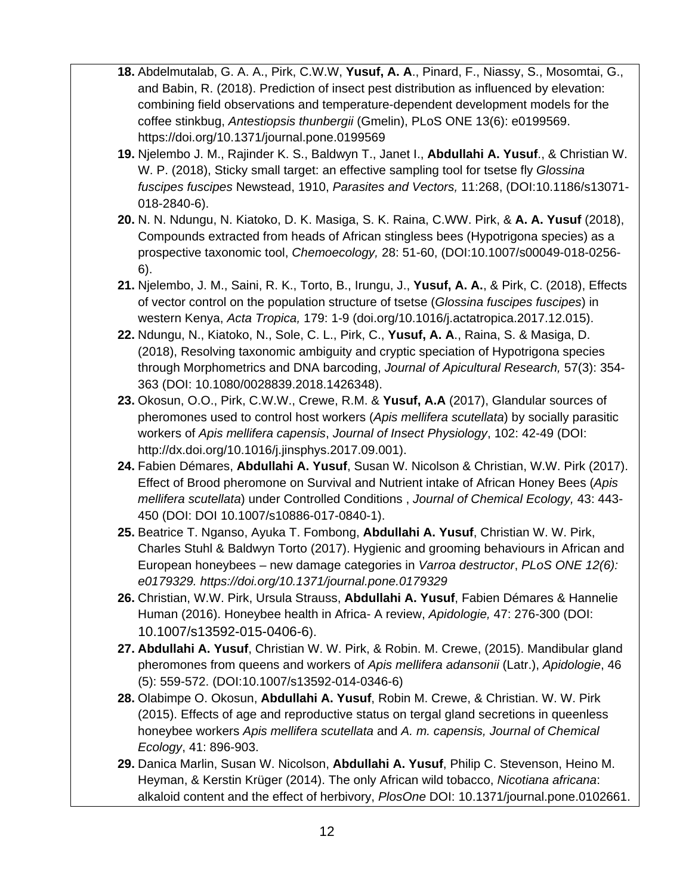- **18.** Abdelmutalab, G. A. A., Pirk, C.W.W, **Yusuf, A. A**., Pinard, F., Niassy, S., Mosomtai, G., and Babin, R. (2018). Prediction of insect pest distribution as influenced by elevation: combining field observations and temperature-dependent development models for the coffee stinkbug, *Antestiopsis thunbergii* (Gmelin), PLoS ONE 13(6): e0199569. https://doi.org/10.1371/journal.pone.0199569
- **19.** Njelembo J. M., Rajinder K. S., Baldwyn T., Janet I., **Abdullahi A. Yusuf**., & Christian W. W. P. (2018), Sticky small target: an effective sampling tool for tsetse fly *Glossina fuscipes fuscipes* Newstead, 1910, *Parasites and Vectors,* 11:268, (DOI:10.1186/s13071- 018-2840-6).
- **20.** N. N. Ndungu, N. Kiatoko, D. K. Masiga, S. K. Raina, C.WW. Pirk, & **A. A. Yusuf** (2018), Compounds extracted from heads of African stingless bees (Hypotrigona species) as a prospective taxonomic tool, *Chemoecology,* 28: 51-60, (DOI:10.1007/s00049-018-0256- 6).
- **21.** Njelembo, J. M., Saini, R. K., Torto, B., Irungu, J., **Yusuf, A. A.**, & Pirk, C. (2018), Effects of vector control on the population structure of tsetse (*Glossina fuscipes fuscipes*) in western Kenya, *Acta Tropica,* 179: 1-9 (doi.org/10.1016/j.actatropica.2017.12.015).
- **22.** Ndungu, N., Kiatoko, N., Sole, C. L., Pirk, C., **Yusuf, A. A**., Raina, S. & Masiga, D. (2018), Resolving taxonomic ambiguity and cryptic speciation of Hypotrigona species through Morphometrics and DNA barcoding, *Journal of Apicultural Research,* 57(3): 354- 363 (DOI: 10.1080/0028839.2018.1426348).
- **23.** Okosun, O.O., Pirk, C.W.W., Crewe, R.M. & **Yusuf, A.A** (2017), Glandular sources of pheromones used to control host workers (*Apis mellifera scutellata*) by socially parasitic workers of *Apis mellifera capensis*, *Journal of Insect Physiology*, 102: 42-49 (DOI: http://dx.doi.org/10.1016/j.jinsphys.2017.09.001).
- **24.** Fabien Démares, **Abdullahi A. Yusuf**, Susan W. Nicolson & Christian, W.W. Pirk (2017). Effect of Brood pheromone on Survival and Nutrient intake of African Honey Bees (*Apis mellifera scutellata*) under Controlled Conditions , *Journal of Chemical Ecology,* 43: 443- 450 (DOI: DOI 10.1007/s10886-017-0840-1).
- **25.** Beatrice T. Nganso, Ayuka T. Fombong, **Abdullahi A. Yusuf**, Christian W. W. Pirk, Charles Stuhl & Baldwyn Torto (2017). Hygienic and grooming behaviours in African and European honeybees – new damage categories in *Varroa destructor*, *PLoS ONE 12(6): e0179329. https://doi.org/10.1371/journal.pone.0179329*
- **26.** Christian, W.W. Pirk, Ursula Strauss, **Abdullahi A. Yusuf**, Fabien Démares & Hannelie Human (2016). Honeybee health in Africa- A review, *Apidologie,* 47: 276-300 (DOI: 10.1007/s13592-015-0406-6).
- **27. Abdullahi A. Yusuf**, Christian W. W. Pirk, & Robin. M. Crewe, (2015). Mandibular gland pheromones from queens and workers of *Apis mellifera adansonii* (Latr.), *Apidologie*, 46 (5): 559-572. (DOI:10.1007/s13592-014-0346-6)
- **28.** Olabimpe O. Okosun, **Abdullahi A. Yusuf**, Robin M. Crewe, & Christian. W. W. Pirk (2015). Effects of age and reproductive status on tergal gland secretions in queenless honeybee workers *Apis mellifera scutellata* and *A. m. capensis, Journal of Chemical Ecology*, 41: 896-903.
- **29.** Danica Marlin, Susan W. Nicolson, **Abdullahi A. Yusuf**, Philip C. Stevenson, Heino M. Heyman, & Kerstin Krüger (2014). The only African wild tobacco, *Nicotiana africana*: alkaloid content and the effect of herbivory, *PlosOne* DOI: 10.1371/journal.pone.0102661.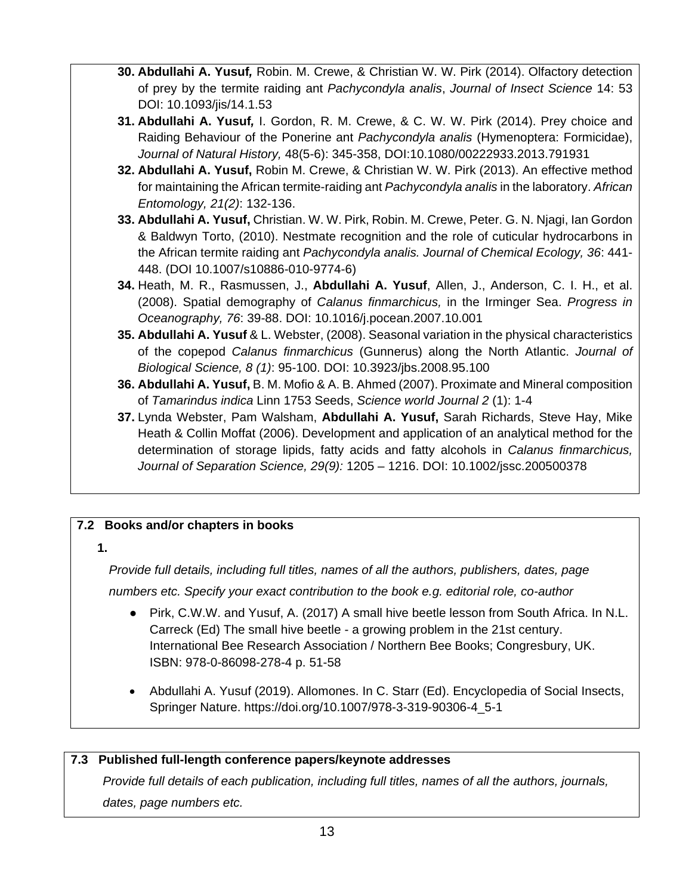- **30. Abdullahi A. Yusuf***,* Robin. M. Crewe, & Christian W. W. Pirk (2014). Olfactory detection of prey by the termite raiding ant *Pachycondyla analis*, *Journal of Insect Science* 14: 53 DOI: 10.1093/jis/14.1.53
- **31. Abdullahi A. Yusuf***,* I. Gordon, R. M. Crewe, & C. W. W. Pirk (2014). Prey choice and Raiding Behaviour of the Ponerine ant *Pachycondyla analis* (Hymenoptera: Formicidae), *Journal of Natural History,* 48(5-6): 345-358, DOI:10.1080/00222933.2013.791931
- **32. Abdullahi A. Yusuf,** Robin M. Crewe, & Christian W. W. Pirk (2013). An effective method for maintaining the African termite-raiding ant *Pachycondyla analis* in the laboratory. *African Entomology, 21(2)*: 132-136.
- **33. Abdullahi A. Yusuf,** Christian. W. W. Pirk, Robin. M. Crewe, Peter. G. N. Njagi, Ian Gordon & Baldwyn Torto, (2010). Nestmate recognition and the role of cuticular hydrocarbons in the African termite raiding ant *Pachycondyla analis. Journal of Chemical Ecology, 36*: 441- 448. (DOI 10.1007/s10886-010-9774-6)
- **34.** Heath, M. R., Rasmussen, J., **Abdullahi A. Yusuf**, Allen, J., Anderson, C. I. H., et al. (2008). Spatial demography of *Calanus finmarchicus,* in the Irminger Sea. *Progress in Oceanography, 76*: 39-88. DOI: 10.1016/j.pocean.2007.10.001
- **35. Abdullahi A. Yusuf** & L. Webster, (2008). Seasonal variation in the physical characteristics of the copepod *Calanus finmarchicus* (Gunnerus) along the North Atlantic. *Journal of Biological Science, 8 (1)*: 95-100. DOI: 10.3923/jbs.2008.95.100
- **36. Abdullahi A. Yusuf,** B. M. Mofio & A. B. Ahmed (2007). Proximate and Mineral composition of *Tamarindus indica* Linn 1753 Seeds, *Science world Journal 2* (1): 1-4
- **37.** Lynda Webster, Pam Walsham, **Abdullahi A. Yusuf,** Sarah Richards, Steve Hay, Mike Heath & Collin Moffat (2006). Development and application of an analytical method for the determination of storage lipids, fatty acids and fatty alcohols in *Calanus finmarchicus, Journal of Separation Science, 29(9):* 1205 – 1216. DOI: 10.1002/jssc.200500378

# **7.2 Books and/or chapters in books**

#### **1.**

*Provide full details, including full titles, names of all the authors, publishers, dates, page numbers etc. Specify your exact contribution to the book e.g. editorial role, co-author* 

- Pirk, C.W.W. and Yusuf, A. (2017) A small hive beetle lesson from South Africa. In N.L. Carreck (Ed) The small hive beetle - a growing problem in the 21st century. International Bee Research Association / Northern Bee Books; Congresbury, UK. ISBN: 978-0-86098-278-4 p. 51-58
- Abdullahi A. Yusuf (2019). Allomones. In C. Starr (Ed). Encyclopedia of Social Insects, Springer Nature. https://doi.org/10.1007/978-3-319-90306-4\_5-1

### **7.3 Published full-length conference papers/keynote addresses**

*Provide full details of each publication, including full titles, names of all the authors, journals, dates, page numbers etc.*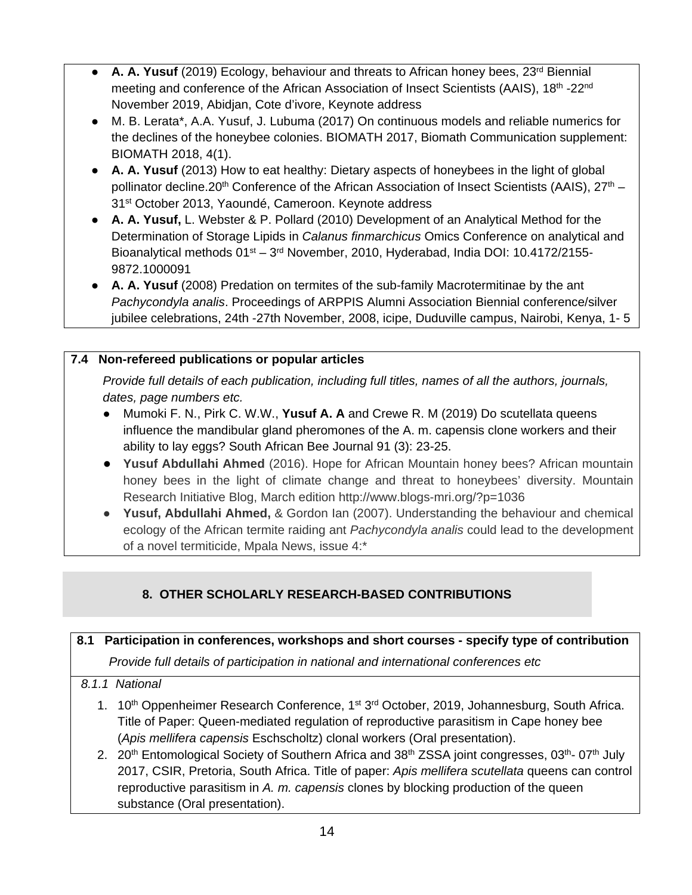- **A. A. Yusuf** (2019) Ecology, behaviour and threats to African honey bees, 23<sup>rd</sup> Biennial meeting and conference of the African Association of Insect Scientists (AAIS), 18<sup>th</sup> -22<sup>nd</sup> November 2019, Abidjan, Cote d'ivore, Keynote address
- M. B. Lerata\*, A.A. Yusuf, J. Lubuma (2017) On continuous models and reliable numerics for the declines of the honeybee colonies. BIOMATH 2017, Biomath Communication supplement: BIOMATH 2018, 4(1).
- **A. A. Yusuf** (2013) How to eat healthy: Dietary aspects of honeybees in the light of global pollinator decline.20<sup>th</sup> Conference of the African Association of Insect Scientists (AAIS), 27<sup>th</sup> – 31st October 2013, Yaoundé, Cameroon. Keynote address
- **A. A. Yusuf,** L. Webster & P. Pollard (2010) Development of an Analytical Method for the Determination of Storage Lipids in *Calanus finmarchicus* Omics Conference on analytical and Bioanalytical methods 01st – 3rd November, 2010, Hyderabad, India DOI: 10.4172/2155- 9872.1000091
- **A. A. Yusuf** (2008) Predation on termites of the sub-family Macrotermitinae by the ant *Pachycondyla analis*. Proceedings of ARPPIS Alumni Association Biennial conference/silver jubilee celebrations, 24th -27th November, 2008, icipe, Duduville campus, Nairobi, Kenya, 1- 5

## **7.4 Non-refereed publications or popular articles**

*Provide full details of each publication, including full titles, names of all the authors, journals, dates, page numbers etc.* 

- Mumoki F. N., Pirk C. W.W., **Yusuf A. A** and Crewe R. M (2019) Do scutellata queens influence the mandibular gland pheromones of the A. m. capensis clone workers and their ability to lay eggs? South African Bee Journal 91 (3): 23-25.
- **Yusuf Abdullahi Ahmed** (2016). Hope for African Mountain honey bees? African mountain honey bees in the light of climate change and threat to honeybees' diversity. Mountain Research Initiative Blog, March edition http://www.blogs-mri.org/?p=1036
- **Yusuf, Abdullahi Ahmed,** & Gordon Ian (2007). Understanding the behaviour and chemical ecology of the African termite raiding ant *Pachycondyla analis* could lead to the development of a novel termiticide, Mpala News, issue 4:\*

# **8. OTHER SCHOLARLY RESEARCH-BASED CONTRIBUTIONS**

| 8.1 | Participation in conferences, workshops and short courses - specify type of contribution                                                                                                                                                                                                               |
|-----|--------------------------------------------------------------------------------------------------------------------------------------------------------------------------------------------------------------------------------------------------------------------------------------------------------|
|     | Provide full details of participation in national and international conferences etc                                                                                                                                                                                                                    |
|     | 8.1.1 National                                                                                                                                                                                                                                                                                         |
|     | 1. 10 <sup>th</sup> Oppenheimer Research Conference, 1 <sup>st</sup> 3 <sup>rd</sup> October, 2019, Johannesburg, South Africa.<br>Title of Paper: Queen-mediated regulation of reproductive parasitism in Cape honey bee<br>(Apis mellifera capensis Eschscholtz) clonal workers (Oral presentation). |
|     | 2. 20 <sup>th</sup> Entomological Society of Southern Africa and 38 <sup>th</sup> ZSSA joint congresses, 03 <sup>th</sup> -07 <sup>th</sup> July                                                                                                                                                       |

2017, CSIR, Pretoria, South Africa. Title of paper: *Apis mellifera scutellata* queens can control reproductive parasitism in *A. m. capensis* clones by blocking production of the queen substance (Oral presentation).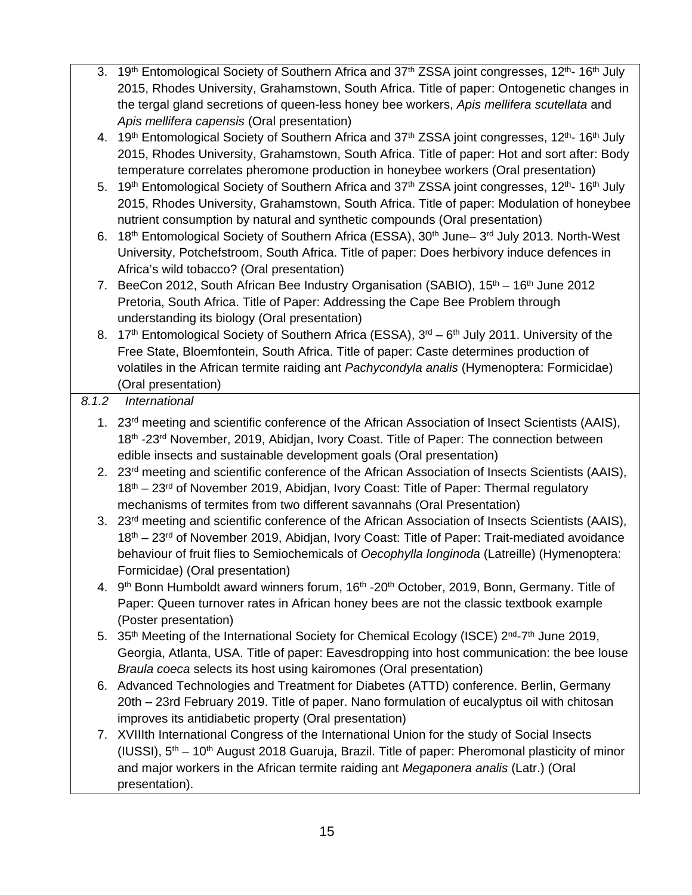- 3. 19<sup>th</sup> Entomological Society of Southern Africa and  $37<sup>th</sup> ZSSA$  joint congresses,  $12<sup>th</sup>$  16<sup>th</sup> July 2015, Rhodes University, Grahamstown, South Africa. Title of paper: Ontogenetic changes in the tergal gland secretions of queen-less honey bee workers, *Apis mellifera scutellata* and *Apis mellifera capensis* (Oral presentation)
- 4. 19<sup>th</sup> Entomological Society of Southern Africa and 37<sup>th</sup> ZSSA joint congresses, 12<sup>th</sup>-16<sup>th</sup> July 2015, Rhodes University, Grahamstown, South Africa. Title of paper: Hot and sort after: Body temperature correlates pheromone production in honeybee workers (Oral presentation)
- 5. 19<sup>th</sup> Entomological Society of Southern Africa and 37<sup>th</sup> ZSSA joint congresses, 12<sup>th</sup>-16<sup>th</sup> July 2015, Rhodes University, Grahamstown, South Africa. Title of paper: Modulation of honeybee nutrient consumption by natural and synthetic compounds (Oral presentation)
- 6. 18<sup>th</sup> Entomological Society of Southern Africa (ESSA), 30<sup>th</sup> June– 3<sup>rd</sup> July 2013. North-West University, Potchefstroom, South Africa. Title of paper: Does herbivory induce defences in Africa's wild tobacco? (Oral presentation)
- 7. BeeCon 2012, South African Bee Industry Organisation (SABIO),  $15<sup>th</sup> 16<sup>th</sup>$  June 2012 Pretoria, South Africa. Title of Paper: Addressing the Cape Bee Problem through understanding its biology (Oral presentation)
- 8. 17<sup>th</sup> Entomological Society of Southern Africa (ESSA), 3<sup>rd</sup> 6<sup>th</sup> July 2011. University of the Free State, Bloemfontein, South Africa. Title of paper: Caste determines production of volatiles in the African termite raiding ant *Pachycondyla analis* (Hymenoptera: Formicidae) (Oral presentation)

## *8.1.2 International*

- 1. 23<sup>rd</sup> meeting and scientific conference of the African Association of Insect Scientists (AAIS), 18<sup>th</sup> -23<sup>rd</sup> November, 2019, Abidjan, Ivory Coast. Title of Paper: The connection between edible insects and sustainable development goals (Oral presentation)
- 2. 23<sup>rd</sup> meeting and scientific conference of the African Association of Insects Scientists (AAIS),  $18<sup>th</sup> - 23<sup>rd</sup>$  of November 2019, Abidian, Ivory Coast: Title of Paper: Thermal regulatory mechanisms of termites from two different savannahs (Oral Presentation)
- 3. 23<sup>rd</sup> meeting and scientific conference of the African Association of Insects Scientists (AAIS), 18<sup>th</sup> – 23<sup>rd</sup> of November 2019, Abidjan, Ivory Coast: Title of Paper: Trait-mediated avoidance behaviour of fruit flies to Semiochemicals of *Oecophylla longinoda* (Latreille) (Hymenoptera: Formicidae) (Oral presentation)
- 4. 9<sup>th</sup> Bonn Humboldt award winners forum, 16<sup>th</sup> -20<sup>th</sup> October, 2019, Bonn, Germany. Title of Paper: Queen turnover rates in African honey bees are not the classic textbook example (Poster presentation)
- 5. 35<sup>th</sup> Meeting of the International Society for Chemical Ecology (ISCE) 2<sup>nd</sup>-7<sup>th</sup> June 2019, Georgia, Atlanta, USA. Title of paper: Eavesdropping into host communication: the bee louse *Braula coeca* selects its host using kairomones (Oral presentation)
- 6. Advanced Technologies and Treatment for Diabetes (ATTD) conference. Berlin, Germany 20th – 23rd February 2019. Title of paper. Nano formulation of eucalyptus oil with chitosan improves its antidiabetic property (Oral presentation)
- 7. XVIIIth International Congress of the International Union for the study of Social Insects (IUSSI),  $5<sup>th</sup> - 10<sup>th</sup>$  August 2018 Guaruja, Brazil. Title of paper: Pheromonal plasticity of minor and major workers in the African termite raiding ant *Megaponera analis* (Latr.) (Oral presentation).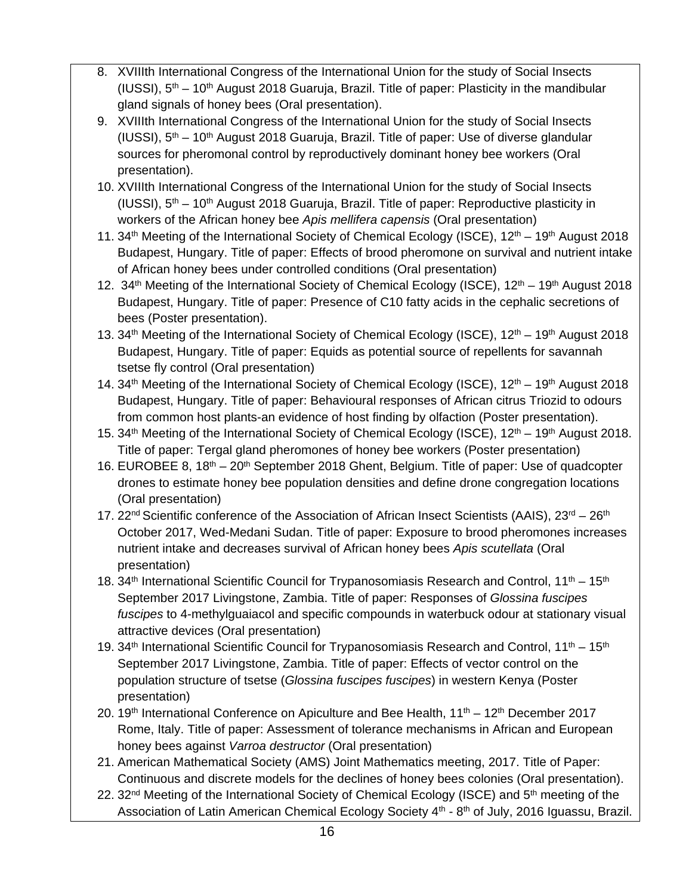- 8. XVIIIth International Congress of the International Union for the study of Social Insects (IUSSI),  $5<sup>th</sup> - 10<sup>th</sup>$  August 2018 Guaruja, Brazil. Title of paper: Plasticity in the mandibular gland signals of honey bees (Oral presentation).
- 9. XVIIIth International Congress of the International Union for the study of Social Insects (IUSSI),  $5<sup>th</sup> - 10<sup>th</sup>$  August 2018 Guaruja, Brazil. Title of paper: Use of diverse glandular sources for pheromonal control by reproductively dominant honey bee workers (Oral presentation).
- 10. XVIIIth International Congress of the International Union for the study of Social Insects (IUSSI),  $5<sup>th</sup> - 10<sup>th</sup>$  August 2018 Guaruja, Brazil. Title of paper: Reproductive plasticity in workers of the African honey bee *Apis mellifera capensis* (Oral presentation)
- 11. 34<sup>th</sup> Meeting of the International Society of Chemical Ecology (ISCE), 12<sup>th</sup> 19<sup>th</sup> August 2018 Budapest, Hungary. Title of paper: Effects of brood pheromone on survival and nutrient intake of African honey bees under controlled conditions (Oral presentation)
- 12. 34<sup>th</sup> Meeting of the International Society of Chemical Ecology (ISCE),  $12<sup>th</sup> 19<sup>th</sup>$  August 2018 Budapest, Hungary. Title of paper: Presence of C10 fatty acids in the cephalic secretions of bees (Poster presentation).
- 13. 34<sup>th</sup> Meeting of the International Society of Chemical Ecology (ISCE), 12<sup>th</sup> 19<sup>th</sup> August 2018 Budapest, Hungary. Title of paper: Equids as potential source of repellents for savannah tsetse fly control (Oral presentation)
- 14. 34<sup>th</sup> Meeting of the International Society of Chemical Ecology (ISCE), 12<sup>th</sup> 19<sup>th</sup> August 2018 Budapest, Hungary. Title of paper: Behavioural responses of African citrus Triozid to odours from common host plants-an evidence of host finding by olfaction (Poster presentation).
- 15.  $34<sup>th</sup>$  Meeting of the International Society of Chemical Ecology (ISCE),  $12<sup>th</sup> 19<sup>th</sup>$  August 2018. Title of paper: Tergal gland pheromones of honey bee workers (Poster presentation)
- 16. EUROBEE 8, 18<sup>th</sup> 20<sup>th</sup> September 2018 Ghent, Belgium. Title of paper: Use of quadcopter drones to estimate honey bee population densities and define drone congregation locations (Oral presentation)
- 17. 22<sup>nd</sup> Scientific conference of the Association of African Insect Scientists (AAIS), 23<sup>rd</sup> 26<sup>th</sup> October 2017, Wed-Medani Sudan. Title of paper: Exposure to brood pheromones increases nutrient intake and decreases survival of African honey bees *Apis scutellata* (Oral presentation)
- 18. 34<sup>th</sup> International Scientific Council for Trypanosomiasis Research and Control,  $11^{th} 15^{th}$ September 2017 Livingstone, Zambia. Title of paper: Responses of *Glossina fuscipes fuscipes* to 4-methylguaiacol and specific compounds in waterbuck odour at stationary visual attractive devices (Oral presentation)
- 19. 34<sup>th</sup> International Scientific Council for Trypanosomiasis Research and Control,  $11^{th} 15^{th}$ September 2017 Livingstone, Zambia. Title of paper: Effects of vector control on the population structure of tsetse (*Glossina fuscipes fuscipes*) in western Kenya (Poster presentation)
- 20. 19<sup>th</sup> International Conference on Apiculture and Bee Health,  $11<sup>th</sup> 12<sup>th</sup>$  December 2017 Rome, Italy. Title of paper: Assessment of tolerance mechanisms in African and European honey bees against *Varroa destructor* (Oral presentation)
- 21. American Mathematical Society (AMS) Joint Mathematics meeting, 2017. Title of Paper: Continuous and discrete models for the declines of honey bees colonies (Oral presentation).
- 22. 32<sup>nd</sup> Meeting of the International Society of Chemical Ecology (ISCE) and 5<sup>th</sup> meeting of the Association of Latin American Chemical Ecology Society 4<sup>th</sup> - 8<sup>th</sup> of July, 2016 Iguassu, Brazil.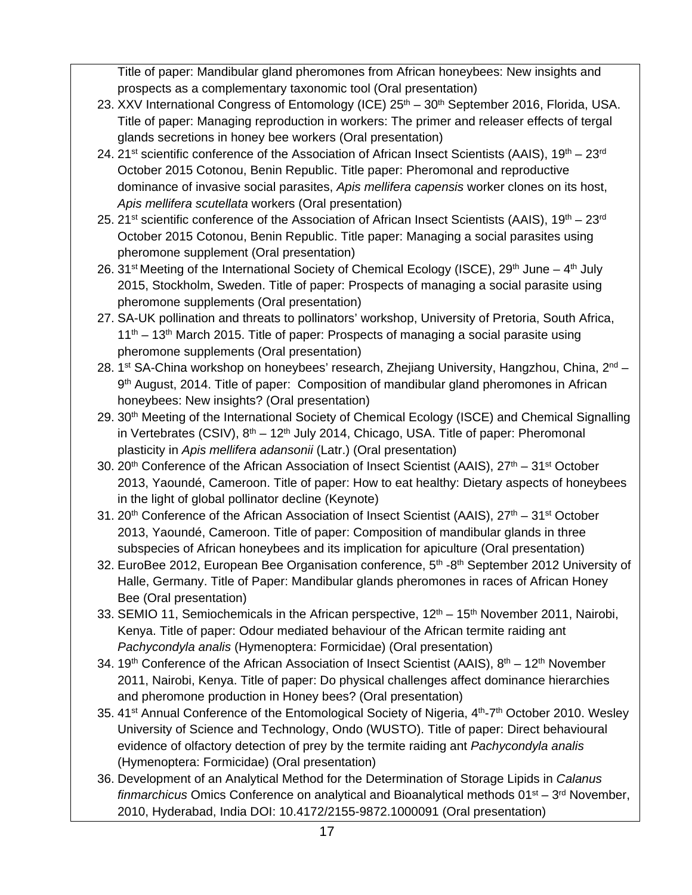Title of paper: Mandibular gland pheromones from African honeybees: New insights and prospects as a complementary taxonomic tool (Oral presentation)

- 23. XXV International Congress of Entomology (ICE) 25<sup>th</sup> 30<sup>th</sup> September 2016, Florida, USA. Title of paper: Managing reproduction in workers: The primer and releaser effects of tergal glands secretions in honey bee workers (Oral presentation)
- 24. 21st scientific conference of the Association of African Insect Scientists (AAIS),  $19<sup>th</sup> 23<sup>rd</sup>$ October 2015 Cotonou, Benin Republic. Title paper: Pheromonal and reproductive dominance of invasive social parasites, *Apis mellifera capensis* worker clones on its host, *Apis mellifera scutellata* workers (Oral presentation)
- 25. 21<sup>st</sup> scientific conference of the Association of African Insect Scientists (AAIS),  $19<sup>th</sup> 23<sup>rd</sup>$ October 2015 Cotonou, Benin Republic. Title paper: Managing a social parasites using pheromone supplement (Oral presentation)
- 26. 31<sup>st</sup> Meeting of the International Society of Chemical Ecology (ISCE), 29<sup>th</sup> June 4<sup>th</sup> July 2015, Stockholm, Sweden. Title of paper: Prospects of managing a social parasite using pheromone supplements (Oral presentation)
- 27. SA-UK pollination and threats to pollinators' workshop, University of Pretoria, South Africa,  $11<sup>th</sup> - 13<sup>th</sup>$  March 2015. Title of paper: Prospects of managing a social parasite using pheromone supplements (Oral presentation)
- 28. 1<sup>st</sup> SA-China workshop on honeybees' research, Zhejiang University, Hangzhou, China,  $2^{nd}$  9<sup>th</sup> August, 2014. Title of paper: Composition of mandibular gland pheromones in African honeybees: New insights? (Oral presentation)
- 29. 30<sup>th</sup> Meeting of the International Society of Chemical Ecology (ISCE) and Chemical Signalling in Vertebrates (CSIV),  $8<sup>th</sup> - 12<sup>th</sup>$  July 2014, Chicago, USA. Title of paper: Pheromonal plasticity in *Apis mellifera adansonii* (Latr.) (Oral presentation)
- 30. 20<sup>th</sup> Conference of the African Association of Insect Scientist (AAIS),  $27<sup>th</sup> 31<sup>st</sup>$  October 2013, Yaoundé, Cameroon. Title of paper: How to eat healthy: Dietary aspects of honeybees in the light of global pollinator decline (Keynote)
- 31. 20<sup>th</sup> Conference of the African Association of Insect Scientist (AAIS),  $27<sup>th</sup> 31<sup>st</sup> October$ 2013, Yaoundé, Cameroon. Title of paper: Composition of mandibular glands in three subspecies of African honeybees and its implication for apiculture (Oral presentation)
- 32. EuroBee 2012, European Bee Organisation conference, 5<sup>th</sup> -8<sup>th</sup> September 2012 University of Halle, Germany. Title of Paper: Mandibular glands pheromones in races of African Honey Bee (Oral presentation)
- 33. SEMIO 11, Semiochemicals in the African perspective,  $12<sup>th</sup> 15<sup>th</sup>$  November 2011, Nairobi, Kenya. Title of paper: Odour mediated behaviour of the African termite raiding ant *Pachycondyla analis* (Hymenoptera: Formicidae) (Oral presentation)
- 34. 19<sup>th</sup> Conference of the African Association of Insect Scientist (AAIS), 8<sup>th</sup> 12<sup>th</sup> November 2011, Nairobi, Kenya. Title of paper: Do physical challenges affect dominance hierarchies and pheromone production in Honey bees? (Oral presentation)
- 35. 41<sup>st</sup> Annual Conference of the Entomological Society of Nigeria, 4<sup>th</sup>-7<sup>th</sup> October 2010. Wesley University of Science and Technology, Ondo (WUSTO). Title of paper: Direct behavioural evidence of olfactory detection of prey by the termite raiding ant *Pachycondyla analis* (Hymenoptera: Formicidae) (Oral presentation)
- 36. Development of an Analytical Method for the Determination of Storage Lipids in *Calanus finmarchicus* Omics Conference on analytical and Bioanalytical methods 01<sup>st</sup> – 3<sup>rd</sup> November, 2010, Hyderabad, India DOI: 10.4172/2155-9872.1000091 (Oral presentation)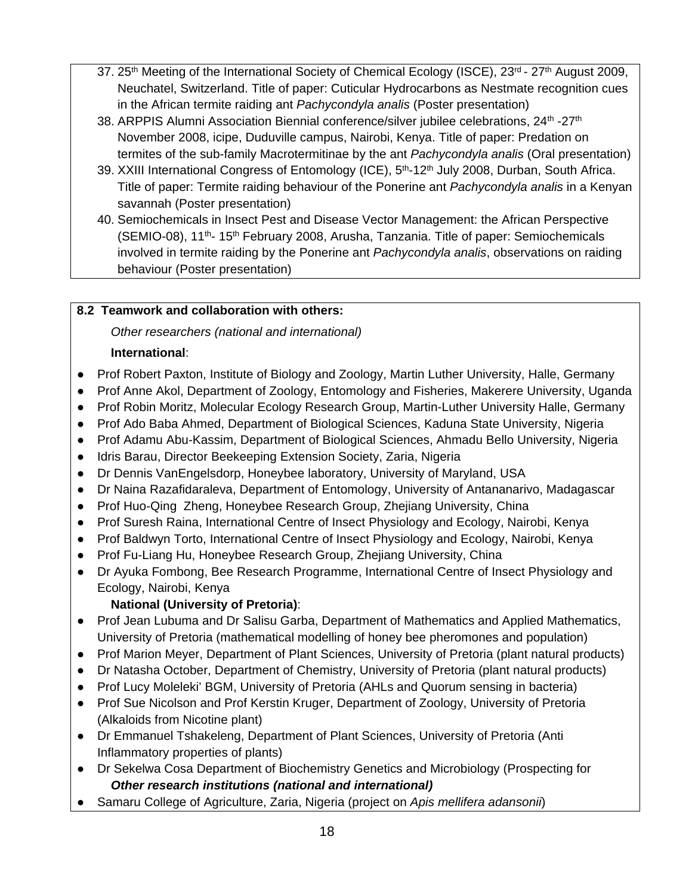- 37. 25<sup>th</sup> Meeting of the International Society of Chemical Ecology (ISCE), 23<sup>rd</sup> 27<sup>th</sup> August 2009, Neuchatel, Switzerland. Title of paper: Cuticular Hydrocarbons as Nestmate recognition cues in the African termite raiding ant *Pachycondyla analis* (Poster presentation)
- 38. ARPPIS Alumni Association Biennial conference/silver jubilee celebrations, 24<sup>th</sup> -27<sup>th</sup> November 2008, icipe, Duduville campus, Nairobi, Kenya. Title of paper: Predation on termites of the sub-family Macrotermitinae by the ant *Pachycondyla analis* (Oral presentation)
- 39. XXIII International Congress of Entomology (ICE), 5<sup>th</sup>-12<sup>th</sup> July 2008, Durban, South Africa. Title of paper: Termite raiding behaviour of the Ponerine ant *Pachycondyla analis* in a Kenyan savannah (Poster presentation)
- 40. Semiochemicals in Insect Pest and Disease Vector Management: the African Perspective (SEMIO-08), 11<sup>th</sup>- 15<sup>th</sup> February 2008, Arusha, Tanzania. Title of paper: Semiochemicals involved in termite raiding by the Ponerine ant *Pachycondyla analis*, observations on raiding behaviour (Poster presentation)

### **8.2 Teamwork and collaboration with others:**

*Other researchers (national and international)* 

## **International**:

- Prof Robert Paxton, Institute of Biology and Zoology, Martin Luther University, Halle, Germany
- Prof Anne Akol, Department of Zoology, Entomology and Fisheries, Makerere University, Uganda
- Prof Robin Moritz, Molecular Ecology Research Group, Martin-Luther University Halle, Germany
- Prof Ado Baba Ahmed, Department of Biological Sciences, Kaduna State University, Nigeria
- Prof Adamu Abu-Kassim, Department of Biological Sciences, Ahmadu Bello University, Nigeria
- Idris Barau, Director Beekeeping Extension Society, Zaria, Nigeria
- Dr Dennis VanEngelsdorp, Honeybee laboratory, University of Maryland, USA
- Dr Naina Razafidaraleva, Department of Entomology, University of Antananarivo, Madagascar
- Prof Huo-Qing Zheng, Honeybee Research Group, Zhejiang University, China
- Prof Suresh Raina, International Centre of Insect Physiology and Ecology, Nairobi, Kenya
- Prof Baldwyn Torto, International Centre of Insect Physiology and Ecology, Nairobi, Kenya
- Prof Fu-Liang Hu, Honeybee Research Group, Zhejiang University, China
- Dr Ayuka Fombong, Bee Research Programme, International Centre of Insect Physiology and Ecology, Nairobi, Kenya

# **National (University of Pretoria)**:

- Prof Jean Lubuma and Dr Salisu Garba, Department of Mathematics and Applied Mathematics, University of Pretoria (mathematical modelling of honey bee pheromones and population)
- Prof Marion Meyer, Department of Plant Sciences, University of Pretoria (plant natural products)
- Dr Natasha October, Department of Chemistry, University of Pretoria (plant natural products)
- Prof Lucy Moleleki' BGM, University of Pretoria (AHLs and Quorum sensing in bacteria)
- Prof Sue Nicolson and Prof Kerstin Kruger, Department of Zoology, University of Pretoria (Alkaloids from Nicotine plant)
- Dr Emmanuel Tshakeleng, Department of Plant Sciences, University of Pretoria (Anti Inflammatory properties of plants)
- Dr Sekelwa Cosa Department of Biochemistry Genetics and Microbiology (Prospecting for *Other research institutions (national and international)*
- Samaru College of Agriculture, Zaria, Nigeria (project on *Apis mellifera adansonii*)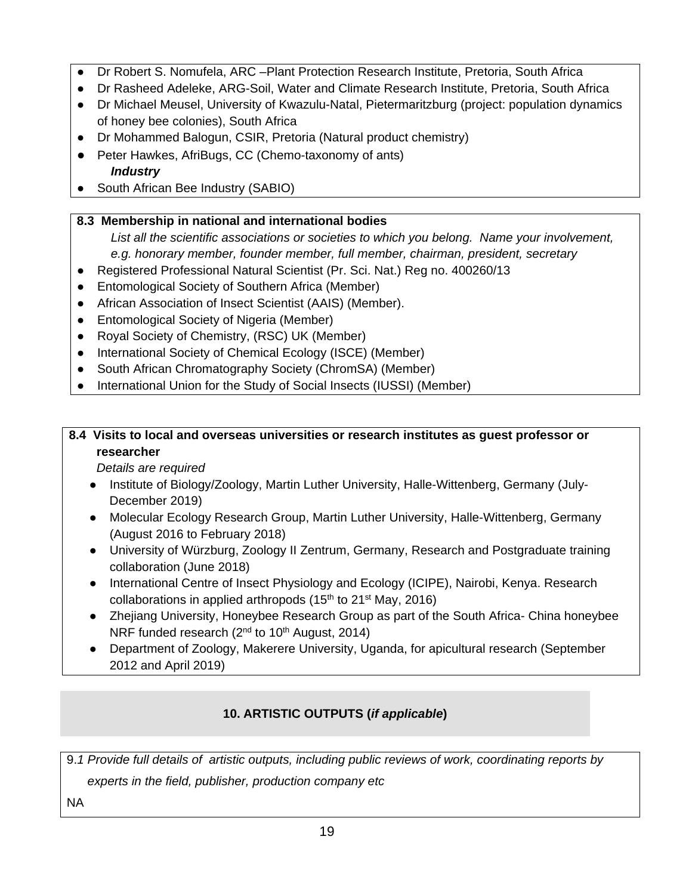- Dr Robert S. Nomufela, ARC –Plant Protection Research Institute, Pretoria, South Africa
- Dr Rasheed Adeleke, ARG-Soil, Water and Climate Research Institute, Pretoria, South Africa
- Dr Michael Meusel, University of Kwazulu-Natal, Pietermaritzburg (project: population dynamics of honey bee colonies), South Africa
- Dr Mohammed Balogun, CSIR, Pretoria (Natural product chemistry)
- Peter Hawkes, AfriBugs, CC (Chemo-taxonomy of ants) *Industry*
- South African Bee Industry (SABIO)
- **8.3 Membership in national and international bodies** 
	- *List all the scientific associations or societies to which you belong. Name your involvement, e.g. honorary member, founder member, full member, chairman, president, secretary*
- Registered Professional Natural Scientist (Pr. Sci. Nat.) Reg no. 400260/13
- Entomological Society of Southern Africa (Member)
- African Association of Insect Scientist (AAIS) (Member).
- Entomological Society of Nigeria (Member)
- Royal Society of Chemistry, (RSC) UK (Member)
- International Society of Chemical Ecology (ISCE) (Member)
- South African Chromatography Society (ChromSA) (Member)
- International Union for the Study of Social Insects (IUSSI) (Member)

## **8.4 Visits to local and overseas universities or research institutes as guest professor or researcher**

*Details are required* 

- Institute of Biology/Zoology, Martin Luther University, Halle-Wittenberg, Germany (July-December 2019)
- Molecular Ecology Research Group, Martin Luther University, Halle-Wittenberg, Germany (August 2016 to February 2018)
- University of Würzburg, Zoology II Zentrum, Germany, Research and Postgraduate training collaboration (June 2018)
- International Centre of Insect Physiology and Ecology (ICIPE), Nairobi, Kenya. Research collaborations in applied arthropods  $(15<sup>th</sup>$  to  $21<sup>st</sup>$  May, 2016)
- Zhejiang University, Honeybee Research Group as part of the South Africa- China honeybee NRF funded research ( $2<sup>nd</sup>$  to 10<sup>th</sup> August, 2014)
- Department of Zoology, Makerere University, Uganda, for apicultural research (September 2012 and April 2019)

# **10. ARTISTIC OUTPUTS (***if applicable***)**

9.*1 Provide full details of artistic outputs, including public reviews of work, coordinating reports by* 

 *experts in the field, publisher, production company etc*

NA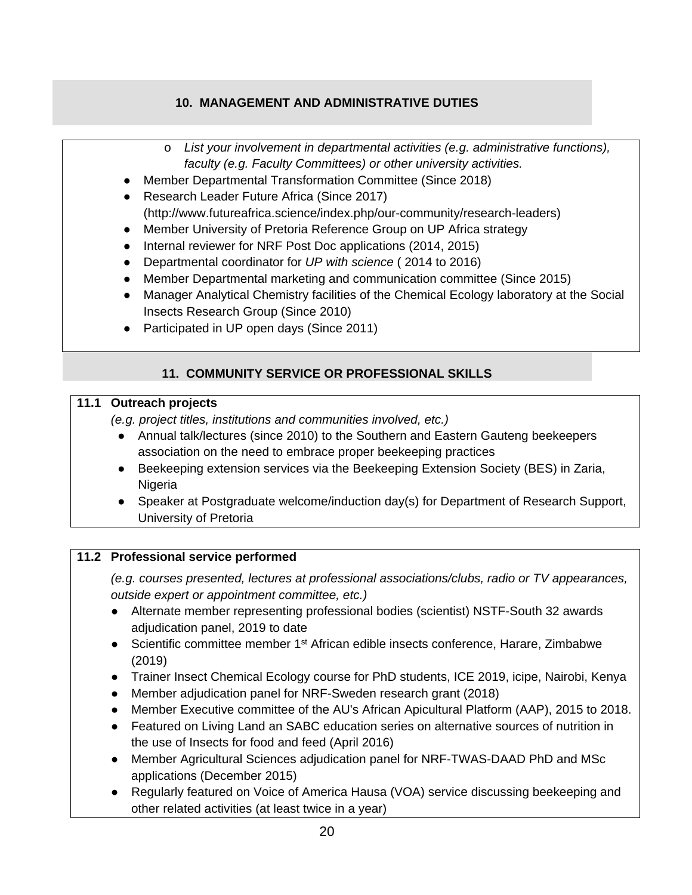## **10. MANAGEMENT AND ADMINISTRATIVE DUTIES**

- o *List your involvement in departmental activities (e.g. administrative functions), faculty (e.g. Faculty Committees) or other university activities.*
- Member Departmental Transformation Committee (Since 2018)
- Research Leader Future Africa (Since 2017) (http://www.futureafrica.science/index.php/our-community/research-leaders)
- Member University of Pretoria Reference Group on UP Africa strategy
- Internal reviewer for NRF Post Doc applications (2014, 2015)
- Departmental coordinator for *UP with science* ( 2014 to 2016)
- Member Departmental marketing and communication committee (Since 2015)
- Manager Analytical Chemistry facilities of the Chemical Ecology laboratory at the Social Insects Research Group (Since 2010)
- Participated in UP open days (Since 2011)

### **11. COMMUNITY SERVICE OR PROFESSIONAL SKILLS**

#### **11.1 Outreach projects**

*(e.g. project titles, institutions and communities involved, etc.)* 

- Annual talk/lectures (since 2010) to the Southern and Eastern Gauteng beekeepers association on the need to embrace proper beekeeping practices
- Beekeeping extension services via the Beekeeping Extension Society (BES) in Zaria, Nigeria
- Speaker at Postgraduate welcome/induction day(s) for Department of Research Support, University of Pretoria

### **11.2 Professional service performed**

*(e.g. courses presented, lectures at professional associations/clubs, radio or TV appearances, outside expert or appointment committee, etc.)* 

- Alternate member representing professional bodies (scientist) NSTF-South 32 awards adjudication panel, 2019 to date
- Scientific committee member 1<sup>st</sup> African edible insects conference, Harare, Zimbabwe (2019)
- Trainer Insect Chemical Ecology course for PhD students, ICE 2019, icipe, Nairobi, Kenya
- Member adjudication panel for NRF-Sweden research grant (2018)
- Member Executive committee of the AU's African Apicultural Platform (AAP), 2015 to 2018.
- Featured on Living Land an SABC education series on alternative sources of nutrition in the use of Insects for food and feed (April 2016)
- Member Agricultural Sciences adjudication panel for NRF-TWAS-DAAD PhD and MSc applications (December 2015)
- Regularly featured on Voice of America Hausa (VOA) service discussing beekeeping and other related activities (at least twice in a year)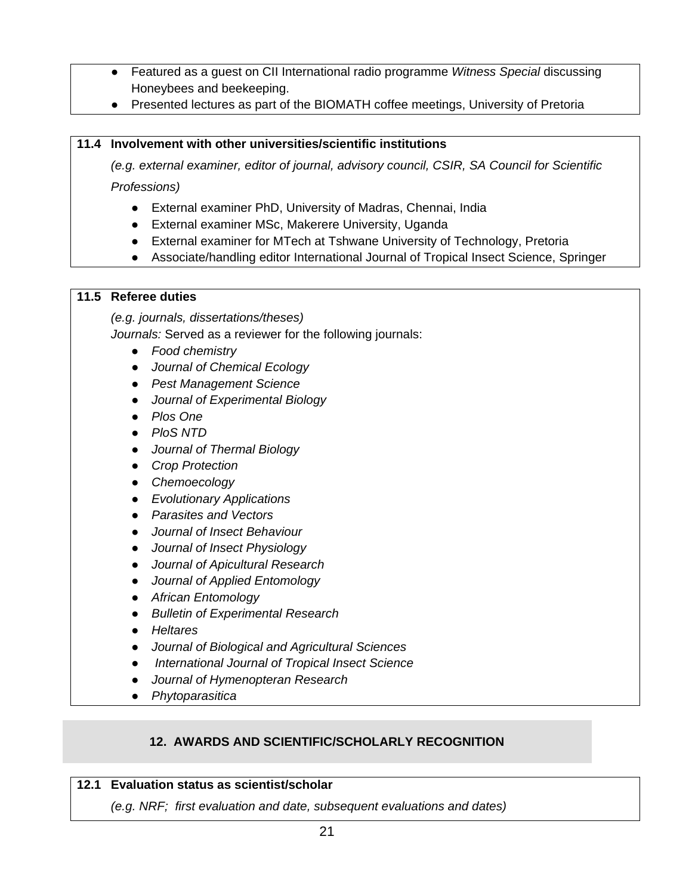- Featured as a guest on CII International radio programme *Witness Special* discussing Honeybees and beekeeping.
- Presented lectures as part of the BIOMATH coffee meetings, University of Pretoria

#### **11.4 Involvement with other universities/scientific institutions**

*(e.g. external examiner, editor of journal, advisory council, CSIR, SA Council for Scientific Professions)* 

- External examiner PhD, University of Madras, Chennai, India
- External examiner MSc, Makerere University, Uganda
- External examiner for MTech at Tshwane University of Technology, Pretoria
- Associate/handling editor International Journal of Tropical Insect Science, Springer

#### **11.5 Referee duties**

*(e.g. journals, dissertations/theses)* 

*Journals:* Served as a reviewer for the following journals:

- *Food chemistry*
- *Journal of Chemical Ecology*
- *Pest Management Science*
- *Journal of Experimental Biology*
- *Plos One*
- *PloS NTD*
- *Journal of Thermal Biology*
- *Crop Protection*
- *Chemoecology*
- *Evolutionary Applications*
- *Parasites and Vectors*
- *Journal of Insect Behaviour*
- *Journal of Insect Physiology*
- *Journal of Apicultural Research*
- *Journal of Applied Entomology*
- *African Entomology*
- *Bulletin of Experimental Research*
- *Heltares*
- *Journal of Biological and Agricultural Sciences*
- ● *International Journal of Tropical Insect Science*
- *Journal of Hymenopteran Research*
- *Phytoparasitica*

### **12. AWARDS AND SCIENTIFIC/SCHOLARLY RECOGNITION**

#### **12.1 Evaluation status as scientist/scholar**

*(e.g. NRF; first evaluation and date, subsequent evaluations and dates)*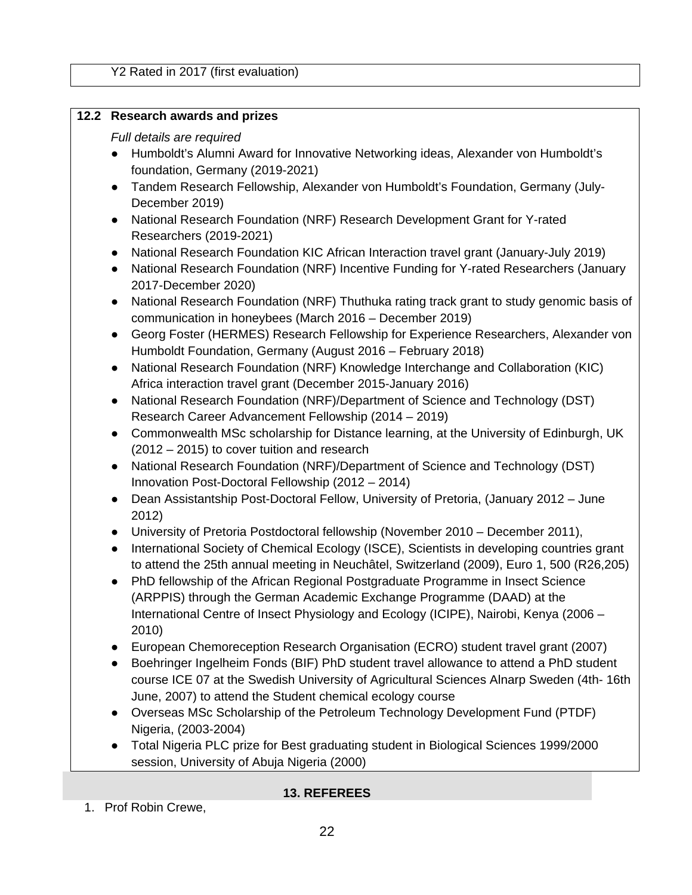#### **12.2 Research awards and prizes**

#### *Full details are required*

- Humboldt's Alumni Award for Innovative Networking ideas, Alexander von Humboldt's foundation, Germany (2019-2021)
- Tandem Research Fellowship, Alexander von Humboldt's Foundation, Germany (July-December 2019)
- National Research Foundation (NRF) Research Development Grant for Y-rated Researchers (2019-2021)
- National Research Foundation KIC African Interaction travel grant (January-July 2019)
- National Research Foundation (NRF) Incentive Funding for Y-rated Researchers (January 2017-December 2020)
- National Research Foundation (NRF) Thuthuka rating track grant to study genomic basis of communication in honeybees (March 2016 – December 2019)
- Georg Foster (HERMES) Research Fellowship for Experience Researchers, Alexander von Humboldt Foundation, Germany (August 2016 – February 2018)
- National Research Foundation (NRF) Knowledge Interchange and Collaboration (KIC) Africa interaction travel grant (December 2015-January 2016)
- National Research Foundation (NRF)/Department of Science and Technology (DST) Research Career Advancement Fellowship (2014 – 2019)
- Commonwealth MSc scholarship for Distance learning, at the University of Edinburgh, UK (2012 – 2015) to cover tuition and research
- National Research Foundation (NRF)/Department of Science and Technology (DST) Innovation Post-Doctoral Fellowship (2012 – 2014)
- Dean Assistantship Post-Doctoral Fellow, University of Pretoria, (January 2012 June 2012)
- University of Pretoria Postdoctoral fellowship (November 2010 December 2011),
- International Society of Chemical Ecology (ISCE), Scientists in developing countries grant to attend the 25th annual meeting in Neuchâtel, Switzerland (2009), Euro 1, 500 (R26,205)
- PhD fellowship of the African Regional Postgraduate Programme in Insect Science (ARPPIS) through the German Academic Exchange Programme (DAAD) at the International Centre of Insect Physiology and Ecology (ICIPE), Nairobi, Kenya (2006 – 2010)
- European Chemoreception Research Organisation (ECRO) student travel grant (2007)
- Boehringer Ingelheim Fonds (BIF) PhD student travel allowance to attend a PhD student course ICE 07 at the Swedish University of Agricultural Sciences Alnarp Sweden (4th- 16th June, 2007) to attend the Student chemical ecology course
- Overseas MSc Scholarship of the Petroleum Technology Development Fund (PTDF) Nigeria, (2003-2004)
- Total Nigeria PLC prize for Best graduating student in Biological Sciences 1999/2000 session, University of Abuja Nigeria (2000)

#### **13. REFEREES**

1. Prof Robin Crewe,